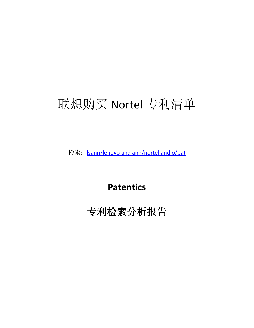# 联想购买 Nortel 专利清单

检索: <u>Isann/lenovo and ann/nortel and o/pat</u>

**Patentics**

专利检索分析报告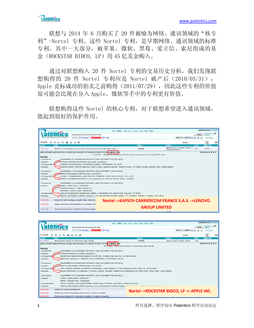联想与 2014 年 6 月购买了 20 件被喻为网络、通讯领域的"核专 利"-Nortel 专利。这些 Nortel 专利,是早期网络、通讯领域的标准 专利。其中一大部分,被苹果、微软、黑莓、爱立信、索尼组成的基 金(ROCKSTAR BIDCO, LP)用 45 亿美金购入。

通过对联想购入 20 件 Nortel 专利的交易历史分析, 我们发现联 想购得的 20 件 Nortel 专利应是 Nortel 破产后(2010/03/31), Apple 竞标成功的拍卖之前购得(2011/07/29),因此这些专利的价值 很可能会比现在分入 Apple、微软等手中的专利更有价值。

联想购得这些 Nortel 的核心专利, 对于联想希望进入通讯领域, 能起到很好的保护作用。



|                                                                                                                            |                                                                               | 首页丨搜索丨分类丨统计丨文档丨历史丨项目丨管理                                 |                              |     | administrator 注销 英文     |
|----------------------------------------------------------------------------------------------------------------------------|-------------------------------------------------------------------------------|---------------------------------------------------------|------------------------------|-----|-------------------------|
|                                                                                                                            | Isann/apple and ann/nortel and o/pat                                          |                                                         |                              | 搜索  | 投票帮助   论地 <sup>42</sup> |
|                                                                                                                            | 授常帮助 v 字段组合<br>智能搜索向导 用户手册                                                    |                                                         | 美国专利 & 美国申请 >                |     | 快速浏览全文                  |
| 902项结果:<br>图 巴 圃 區 品 圖<br>昆<br>E[4]                                                                                        |                                                                               |                                                         | 专利号:                         |     | Ŀ<br>四回                 |
| 公开号<br><b>Bro William</b>                                                                                                  |                                                                               | 申請人                                                     | 发明人                          | 分类  | 国际分类                    |
| 8,179,825                                                                                                                  | Method and system for detecting radar signals                                 | 北中网络                                                    | Steer; David   Smith; Adrian | 370 |                         |
|                                                                                                                            | 摘要 主权利要求 題录 参考引用 分类 图片 索引 相关概念及专利 新颖分析 侵权分析 同情 法律状态 信息                        | 8.179.825 Method and system for detecting radar signals |                              |     | 高原高山三米市西                |
| 转移信息                                                                                                                       |                                                                               |                                                         |                              |     |                         |
| Conveyance                                                                                                                 | ASSIGNMENT OF ASSIGNORS INTEREST (SEE DOCUMENT FOR DETAILS).                  |                                                         |                              |     |                         |
| Assignor                                                                                                                   | ROCKSTAR BIDCO, LP (date: 20120511)                                           |                                                         |                              |     |                         |
| Corresponder                                                                                                               | MEYERTONS HOOD KIVLIN KOWERT & GOETZEL, PO BOX 398, AUSTIN, TX 78746-0398     |                                                         |                              |     |                         |
| Assignee                                                                                                                   | APPLE INC. (address: 1 INFINITE LOOP, CUPERTINO, CALIFORNIA, 95014)           |                                                         |                              |     |                         |
| Conveyance                                                                                                                 | ASSIGNMENT OF ASSIGNORS INTEREST (SEE DOCUMENT FOR DETAILS).                  |                                                         |                              |     |                         |
| NORTEL NETWORKS LIMITED (date: 20110729)<br>Assignor                                                                       |                                                                               |                                                         |                              |     |                         |
| PAUL, WEISS, RIFKIND, WHARTON & GARRISON, 1285 AVENUE OF THE AMERICAS, NEW YORK, NY 10019-6064<br>Corresponder             |                                                                               |                                                         |                              |     |                         |
| ROCKSTAR BIDCO, LP (address: C/O PAUL, WEISS, RIFKIND, WHARTON & GARRISON LLP, NEW YORK, NEW YORK, 10019-6064)<br>Assignee |                                                                               |                                                         |                              |     |                         |
| Conveyance                                                                                                                 | ASSIGNMENT OF ASSIGNORS INTEREST (SEE DOCUMENT FOR DETAILS).                  |                                                         |                              |     |                         |
| Assignor                                                                                                                   | STEER, DAVID (date: 20060309)                                                 |                                                         |                              |     |                         |
|                                                                                                                            | SMITH, ADRIAN (date: 20060309)                                                |                                                         |                              |     |                         |
| Correspondent                                                                                                              | JOHN D. HARRIS, 160 ELGIN STREET, SUITE 2600, OTTAWA, ONTARIO, CANADA K1P 1C3 |                                                         |                              |     |                         |
| Assignee                                                                                                                   | NORTEL NETWORKS LIMITED (address: 2351 BOULEVARD ALFRED-NOBEL, C              |                                                         |                              |     |                         |
| WIMAX R6 control architecture<br>8,165,062                                                                                 |                                                                               | Nortel ->ROCKSTAR BIDCO, LP -> APPLE INC.               |                              |     |                         |
| 8,099,669                                                                                                                  | Enhanced unified messaging system with a quick view facility                  |                                                         |                              |     |                         |
| 8.086.235                                                                                                                  | System and method for restricting mobility in wireless networks               |                                                         |                              |     |                         |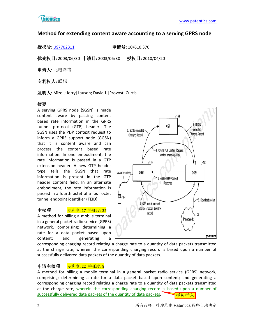

# **Method for extending content aware accounting to a serving GPRS node**

授权号**:** [US7702311](http://113.31.18.23/invokexml.do?sf=ShowPatent&spn=7702311&sv=39fa452c20bc156f1ff5df84115e5920) 申请号**:** 10/610,370

优先权日**:** 2003/06/30 申请日**:** 2003/06/30 授权日**:** 2010/04/20

申请人**:** 北电网络

专利权人**:** 联想

发明人**:** Mizell; Jerry|Lauson; David J.|Provost; Curtis

# 摘要

A serving GPRS node (SGSN) is made content aware by passing content based rate information in the GPRS tunnel protocol (GTP) header. The SGSN uses the PDP context request to inform a GPRS support node (GGSN) that it is content aware and can process the content based rate information. In one embodiment, the rate information is passed in a GTP extension header. A new GTP header type tells the SGSN that rate information is present in the GTP header content field. In an alternate embodiment, the rate information is passed in a fourth octet of a four octet tunnel endpoint identifier (TEID).

# 主权项 <mark>专利度: 17 特征度: 32</mark>

A method for billing a mobile terminal in a general packet radio service (GPRS) network, comprising: determining a rate for a data packet based upon content; and generating a



corresponding charging record relating a charge rate to a quantity of data packets transmitted at the charge rate, wherein the corresponding charging record is based upon a number of successfully delivered data packets of the quantity of data packets.

# 申请主权项 专利度: 22 特征度: 8

A method for billing a mobile terminal in a general packet radio service (GPRS) network, comprising: determining a rate for a data packet based upon content; and generating a corresponding charging record relating a charge rate to a quantity of data packets transmitted at the charge rate, wherein the corresponding charging record is based upon a number of successfully delivered data packets of the quantity of data packets. 授权插入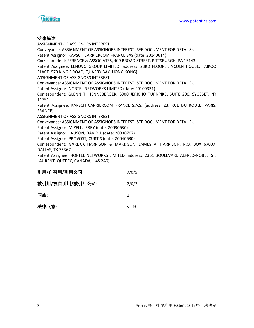



#### 法律描述

ASSIGNMENT OF ASSIGNORS INTEREST Conveyance: ASSIGNMENT OF ASSIGNORS INTEREST (SEE DOCUMENT FOR DETAILS). Patent Assignor: KAPSCH CARRIERCOM FRANCE SAS (date: 20140614) Correspondent: FERENCE & ASSOCIATES, 409 BROAD STREET, PITTSBURGH, PA 15143 Patent Assignee: LENOVO GROUP LIMITED (address: 23RD FLOOR, LINCOLN HOUSE, TAIKOO PLACE, 979 KING'S ROAD, QUARRY BAY, HONG KONG) ASSIGNMENT OF ASSIGNORS INTEREST Conveyance: ASSIGNMENT OF ASSIGNORS INTEREST (SEE DOCUMENT FOR DETAILS). Patent Assignor: NORTEL NETWORKS LIMITED (date: 20100331) Correspondent: GLENN T. HENNEBERGER, 6900 JERICHO TURNPIKE, SUITE 200, SYOSSET, NY 11791 Patent Assignee: KAPSCH CARRIERCOM FRANCE S.A.S. (address: 23, RUE DU ROULE, PARIS, FRANCE) ASSIGNMENT OF ASSIGNORS INTEREST Conveyance: ASSIGNMENT OF ASSIGNORS INTEREST (SEE DOCUMENT FOR DETAILS). Patent Assignor: MIZELL, JERRY (date: 20030630) Patent Assignor: LAUSON, DAVID J. (date: 20030707) Patent Assignor: PROVOST, CURTIS (date: 20040630) Correspondent: GARLICK HARRISON & MARKISON, JAMES A. HARRISON, P.O. BOX 67007, DALLAS, TX 75367 Patent Assignee: NORTEL NETWORKS LIMITED (address: 2351 BOULEVARD ALFRED-NOBEL, ST. LAURENT, QUEBEC, CANADA, H4S 2A9)

| 引用/自引用/引用公司:    | 7/0/5 |
|-----------------|-------|
| 被引用/被自引用/被引用公司: | 2/0/2 |
| 同族:             | 1.    |
| 法律状态:           | Valid |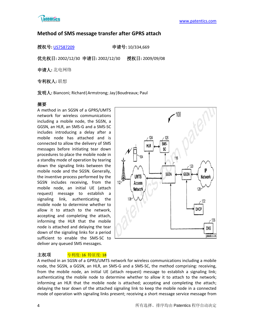

# **Method of SMS message transfer after GPRS attach**

授权号**:** [US7587209](http://113.31.18.23/invokexml.do?sf=ShowPatent&spn=7587209&sv=349bafed87d66f0b86bb325c93c487c4) 申请号**:** 10/334,669

优先权日**:** 2002/12/30 申请日**:** 2002/12/30 授权日**:** 2009/09/08

申请人**:** 北电网络

专利权人**:** 联想

发明人**:** Bianconi; Richard|Armstrong; Jay|Boudreaux; Paul

# 摘要

A method in an SGSN of a GPRS/UMTS network for wireless communications including a mobile node, the SGSN, a GGSN, an HLR, an SMS-G and a SMS-SC includes introducing a delay after a mobile node has attached and is connected to allow the delivery of SMS messages before initiating tear down procedures to place the mobile node in a standby mode of operation by tearing down the signaling links between the mobile node and the SGSN. Generally, the inventive process performed by the SGSN includes receiving, from the mobile node, an initial UE (attach request) message to establish a signaling link, authenticating the mobile node to determine whether to allow it to attach to the network, accepting and completing the attach, informing the HLR that the mobile node is attached and delaying the tear down of the signaling links for a period sufficient to enable the SMS-SC to deliver any queued SMS messages.



# 主权项 <mark>专利度: 16 特征度: 18</mark>

A method in an SGSN of a GPRS/UMTS network for wireless communications including a mobile node, the SGSN, a GGSN, an HLR, an SMS-G and a SMS-SC, the method comprising: receiving, from the mobile node, an initial UE (attach request) message to establish a signaling link; authenticating the mobile node to determine whether to allow it to attach to the network; informing an HLR that the mobile node is attached; accepting and completing the attach; delaying the tear down of the attached signaling link to keep the mobile node in a connected mode of operation with signaling links present; receiving a short message service message from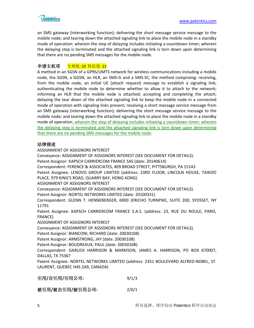

an SMS gateway (interworking function); delivering the short message service message to the mobile node; and tearing down the attached signaling link to place the mobile node in a standby mode of operation: wherein the step of delaying includes initiating a countdown timer; wherein the delaying step is terminated and the attached signaling link is torn down upon determining that there are no pending SMS messages for the mobile node.

# 申请主权项 专利度: 20 特征度: 23

A method in an SGSN of a GPRS/UMTS network for wireless communications including a mobile node, the SGSN, a GGSN, an HLR, an SMS-G and a SMS-SC, the method comprising: receiving, from the mobile node, an initial UE (attach request) message to establish a signaling link; authenticating the mobile node to determine whether to allow it to attach to the network; informing an HLR that the mobile node is attached; accepting and completing the attach; delaying the tear down of the attached signaling link to keep the mobile node in a connected mode of operation with signaling links present; receiving a short message service message from an SMS gateway (interworking function); delivering the short message service message to the mobile node; and tearing down the attached signaling link to place the mobile node in a standby mode of operation: wherein the step of delaying includes initiating a countdown timer; wherein the delaying step is terminated and the attached signaling link is torn down upon determining that there are no pending SMS messages for the mobile node.

#### 法律描述

ASSIGNMENT OF ASSIGNORS INTEREST Conveyance: ASSIGNMENT OF ASSIGNORS INTEREST (SEE DOCUMENT FOR DETAILS). Patent Assignor: KAPSCH CARRIERCOM FRANCE SAS (date: 20140614) Correspondent: FERENCE & ASSOCIATES, 409 BROAD STREET, PITTSBURGH, PA 15143 Patent Assignee: LENOVO GROUP LIMITED (address: 23RD FLOOR, LINCOLN HOUSE, TAIKOO PLACE, 979 KING'S ROAD, QUARRY BAY, HONG KONG) ASSIGNMENT OF ASSIGNORS INTEREST Conveyance: ASSIGNMENT OF ASSIGNORS INTEREST (SEE DOCUMENT FOR DETAILS). Patent Assignor: NORTEL NETWORKS LIMITED (date: 20100331) Correspondent: GLENN T. HENNEBERGER, 6900 JERICHO TURNPIKE, SUITE 200, SYOSSET, NY 11791 Patent Assignee: KAPSCH CARRIERCOM FRANCE S.A.S. (address: 23, RUE DU ROULE, PARIS, FRANCE) ASSIGNMENT OF ASSIGNORS INTEREST Conveyance: ASSIGNMENT OF ASSIGNORS INTEREST (SEE DOCUMENT FOR DETAILS). Patent Assignor: BIANCONI, RICHARD (date: 20030108) Patent Assignor: ARMSTRONG, JAY (date: 20030108) Patent Assignor: BOUDREAUX, PAUL (date: 20030108) Correspondent: GARLICK HARRISON & MARKISON, JAMES A. HARRISON, PO BOX 670007, DALLAS, TX 75367 Patent Assignee: NORTEL NETWORKS LIMITED (address: 2351 BOULEVARD ALFRED-NOBEL, ST. LAURENT, QUEBEC H4S 2A9, CANADA) 引用**/**自引用**/**引用公司**:** 9/1/3

被引用**/**被自引用**/**被引用公司**:** 2/0/1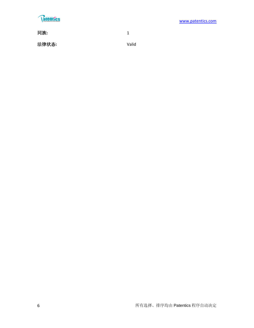# **Ratentics**

同族**:** 1

法律状态**:** Valid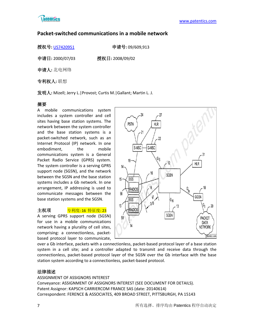

# **Packet-switched communications in a mobile network**

授权号**:** [US7420951](http://113.31.18.23/invokexml.do?sf=ShowPatent&spn=7420951&sv=cfbb1e21f2ad45b32185d87e81c21ffa) 申请号**:** 09/609,913

申请日**:** 2000/07/03 授权日**:** 2008/09/02

申请人**:** 北电网络

专利权人**:** 联想

发明人**:** Mizell; Jerry L.|Provost; Curtis M.|Gallant; Martin L. J.

# 摘要

A mobile communications system includes a system controller and cell sites having base station systems. The network between the system controller and the base station systems is a packet-switched network, such as an Internet Protocol (IP) network. In one embodiment, the mobile communications system is a General Packet Radio Service (GPRS) system. The system controller is a serving GPRS support node (SGSN), and the network between the SGSN and the base station systems includes a Gb network. In one arrangement, IP addressing is used to communicate messages between the base station systems and the SGSN.

# 主权项 专利度: 16 特征度: 23

A serving GPRS support node (SGSN) for use in a mobile communications network having a plurality of cell sites, comprising: a connectionless, packetbased protocol layer to communicate,



over a Gb interface, packets with a connectionless, packet-based protocol layer of a base station system in a cell site; and a controller adapted to transmit and receive data through the connectionless, packet-based protocol layer of the SGSN over the Gb interface with the base station system according to a connectionless, packet-based protocol.

# 法律描述

ASSIGNMENT OF ASSIGNORS INTEREST Conveyance: ASSIGNMENT OF ASSIGNORS INTEREST (SEE DOCUMENT FOR DETAILS). Patent Assignor: KAPSCH CARRIERCOM FRANCE SAS (date: 20140614) Correspondent: FERENCE & ASSOCIATES, 409 BROAD STREET, PITTSBURGH, PA 15143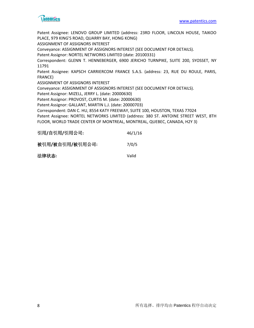

Patent Assignee: LENOVO GROUP LIMITED (address: 23RD FLOOR, LINCOLN HOUSE, TAIKOO PLACE, 979 KING'S ROAD, QUARRY BAY, HONG KONG) ASSIGNMENT OF ASSIGNORS INTEREST Conveyance: ASSIGNMENT OF ASSIGNORS INTEREST (SEE DOCUMENT FOR DETAILS). Patent Assignor: NORTEL NETWORKS LIMITED (date: 20100331) Correspondent: GLENN T. HENNEBERGER, 6900 JERICHO TURNPIKE, SUITE 200, SYOSSET, NY 11791 Patent Assignee: KAPSCH CARRIERCOM FRANCE S.A.S. (address: 23, RUE DU ROULE, PARIS, FRANCE) ASSIGNMENT OF ASSIGNORS INTEREST Conveyance: ASSIGNMENT OF ASSIGNORS INTEREST (SEE DOCUMENT FOR DETAILS). Patent Assignor: MIZELL, JERRY L. (date: 20000630) Patent Assignor: PROVOST, CURTIS M. (date: 20000630) Patent Assignor: GALLANT, MARTIN L.J. (date: 20000703) Correspondent: DAN C. HU, 8554 KATY FREEWAY, SUITE 100, HOUSTON, TEXAS 77024 Patent Assignee: NORTEL NETWORKS LIMITED (address: 380 ST. ANTOINE STREET WEST, 8TH FLOOR, WORLD TRADE CENTER OF MONTREAL, MONTREAL, QUEBEC, CANADA, H2Y 3)

| 引用/自引用/引用公司: | 46/1/16 |
|--------------|---------|
|--------------|---------|

被引用**/**被自引用**/**被引用公司**:** 7/0/5

法律状态**:** Valid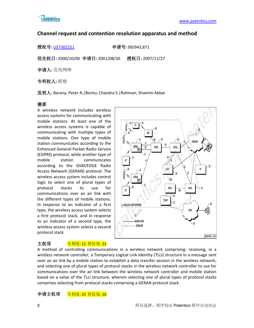

# **Channel request and contention resolution apparatus and method**

授权号**:** [US7302251](http://113.31.18.23/invokexml.do?sf=ShowPatent&spn=7302251&sv=b048be063dbe8c0d310e030cc73934a3) 申请号**:** 09/943,871

优先权日**:** 2000/10/06 申请日**:** 2001/08/30 授权日**:** 2007/11/27

申请人**:** 北电网络

专利权人**:** 联想

发明人**:** Barany; Peter A.|Bontu; Chandra S.|Rahman; Shamim Akbar

# 摘要

A wireless network includes wireless access systems for communicating with mobile stations. At least one of the wireless access systems is capable of communicating with multiple types of mobile stations. One type of mobile station communicates according to the Enhanced General Packet Radio Service (EGPRS) protocol, while another type of mobile station communicates according to the GSM/EDGE Radio Access Network (GERAN) protocol. The wireless access system includes control logic to select one of plural types of protocol stacks to use for communications over an air link with the different types of mobile stations. In response to an indicator of a first type, the wireless access system selects a first protocol stack, and in response to an indicator of a second type, the wireless access system selects a second protocol stack.



#### 主权项 <mark>专利度: 12 特征度: 22</mark>

A method of controlling communications in a wireless network comprising: receiving, in a wireless network controller, a Temporary Logical Link Identity (TLLI) structure in a message sent over an air link by a mobile station to establish a data transfer session in the wireless network; and selecting one of plural types of protocol stacks in the wireless network controller to use for communications over the air link between the wireless network controller and mobile station based on a value of the TLLI structure, wherein selecting one of plural types of protocol stacks comprises selecting from protocol stacks comprising a GERAN protocol stack.

申请主权项 专利度: 25 特征度: 10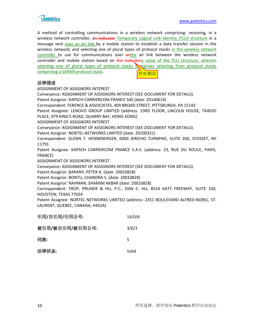

A method of controlling communications in a wireless network comprising: receiving, in a wireless network controller, an indicator Temporary Logical Link Identity (TLLI) structure in a message sent over an air link by a mobile station to establish a data transfer session in the wireless network; and selecting one of plural types of protocol stacks in the wireless network controller to use for communications over anthe air link between the wireless network controller and mobile station based on the indicatora value of the TLLI structure, wherein selecting one of plural types of protocol stacks equations selecting from protocol stacks comprising a GERAN protocol stack. 授权删除

#### 法律描述

ASSIGNMENT OF ASSIGNORS INTEREST Conveyance: ASSIGNMENT OF ASSIGNORS INTEREST (SEE DOCUMENT FOR DETAILS). Patent Assignor: KAPSCH CARRIERCOM FRANCE SAS (date: 20140614) Correspondent: FERENCE & ASSOCIATES, 409 BROAD STREET, PITTSBURGH, PA 15143 Patent Assignee: LENOVO GROUP LIMITED (address: 23RD FLOOR, LINCOLN HOUSE, TAIKOO PLACE, 979 KING'S ROAD, QUARRY BAY, HONG KONG) ASSIGNMENT OF ASSIGNORS INTEREST Conveyance: ASSIGNMENT OF ASSIGNORS INTEREST (SEE DOCUMENT FOR DETAILS). Patent Assignor: NORTEL NETWORKS LIMITED (date: 20100331) Correspondent: GLENN T. HENNEBERGER, 6900 JERICHO TURNPIKE, SUITE 200, SYOSSET, NY 11791 Patent Assignee: KAPSCH CARRIERCOM FRANCE S.A.S. (address: 23, RUE DU ROULE, PARIS, FRANCE) ASSIGNMENT OF ASSIGNORS INTEREST Conveyance: ASSIGNMENT OF ASSIGNORS INTEREST (SEE DOCUMENT FOR DETAILS). Patent Assignor: BARANY, PETER A. (date: 20010828) Patent Assignor: BONTU, CHANDRA S. (date: 20010828) Patent Assignor: RAHMAN, SHAMIM AKBAR (date: 20010828) Correspondent: TROP, PRUNER & HU, P.C., DAN C. HU, 8554 KATY FREEWAY, SUITE 100, HOUSTON, TEXAS 77024

Patent Assignee: NORTEL NETWORKS LIMITED (address: 2351 BOULEVARD ALFRED-NOBEL, ST. LAURENT, QUEBEC, CANADA, H4S2A)

| 引用/自引用/引用公司:    | 14/0/6 |
|-----------------|--------|
| 被引用/被自引用/被引用公司: | 3/0/3  |
| 同族:             | 5      |
| 法律状态:           | Valid  |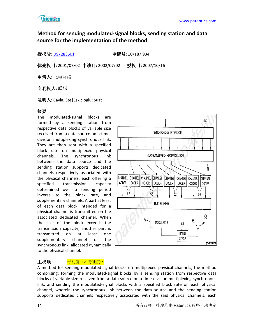

# **Method for sending modulated-signal blocks, sending station and data source for the implementation of the method**

授权号**:** [US7283501](http://113.31.18.23/invokexml.do?sf=ShowPatent&spn=7283501&sv=248d75cca14d316b27bf1107ee7a453b) 申请号**:** 10/187,934

优先权日**:** 2001/07/02 申请日**:** 2002/07/02 授权日**:** 2007/10/16

申请人**:** 北电网络

专利权人**:** 联想

发明人**:** Cayla; Ste|Eskicioglu; Suat

# 摘要

The modulated-signal blocks are formed by a sending station from respective data blocks of variable size received from a data source on a timedivision multiplexing synchronous link. They are then sent with a specified block rate on multiplexed physical channels. The synchronous link between the data source and the sending station supports dedicated channels respectively associated with the physical channels, each offering a specified transmission capacity determined over a sending period inverse to the block rate, and supplementary channels. A part at least of each data block intended for a physical channel is transmitted on the associated dedicated channel. When the size of the block exceeds the transmission capacity, another part is transmitted on at least one supplementary channel of the synchronous link, allocated dynamically to the physical channel.



# 主权项 <mark>专利度: 12 特征度: 9</mark>

A method for sending modulated-signal blocks on multiplexed physical channels, the method comprising: forming the modulated-signal blocks by a sending station from respective data blocks of variable size received from a data source on a time-division multiplexing synchronous link, and sending the modulated-signal blocks with a specified block rate on each physical channel, wherein the synchronous link between the data source and the sending station supports dedicated channels respectively associated with the said physical channels, each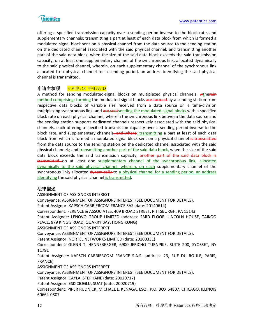

offering a specified transmission capacity over a sending period inverse to the block rate, and supplementary channels; transmitting a part at least of each data block from which is formed a modulated-signal block sent on a physical channel from the data source to the sending station on the dedicated channel associated with the said physical channel; and transmitting another part of the said data block, when the size of the said data block exceeds the said transmission capacity, on at least one supplementary channel of the synchronous link, allocated dynamically to the said physical channel, wherein, on each supplementary channel of the synchronous link allocated to a physical channel for a sending period, an address identifying the said physical channel is transmitted.

# 申请主权项 专利度: 14 特征度: 18

A method for sending modulated-signal blocks on multiplexed physical channels, wtherein method comprising: forming the modulated-signal blocks are formed by a sending station from respective data blocks of variable size received from a data source on a time-division multiplexing synchronous link, and are sentsending the modulated-signal blocks with a specified block rate on each physical channel, wherein the synchronous link between the data source and the sending station supports dedicated channels respectively associated with the said physical channels, each offering a specified transmission capacity over a sending period inverse to the block rate, and supplementary channels, and where; transmitting a part at least of each data block from which is formed a modulated-signal block sent on a physical channel is transmitted from the data source to the sending station on the dedicated channel associated with the said physical channel<sub> $\tau$ </sub> and transmitting another part of the said data block, when the size of the said data block exceeds the said transmission capacity, another part of the said data block is transmitted on at least one supplementary channel of the synchronous link, allocated dynamically to the said physical channel, wherein, on each supplementary channel of the synchronous link, allocated dynamically to a physical channel for a sending period, an address identifying the said physical channel is transmitted.

#### 法律描述

ASSIGNMENT OF ASSIGNORS INTEREST Conveyance: ASSIGNMENT OF ASSIGNORS INTEREST (SEE DOCUMENT FOR DETAILS). Patent Assignor: KAPSCH CARRIERCOM FRANCE SAS (date: 20140614) Correspondent: FERENCE & ASSOCIATES, 409 BROAD STREET, PITTSBURGH, PA 15143 Patent Assignee: LENOVO GROUP LIMITED (address: 23RD FLOOR, LINCOLN HOUSE, TAIKOO PLACE, 979 KING'S ROAD, QUARRY BAY, HONG KONG) ASSIGNMENT OF ASSIGNORS INTEREST Conveyance: ASSIGNMENT OF ASSIGNORS INTEREST (SEE DOCUMENT FOR DETAILS). Patent Assignor: NORTEL NETWORKS LIMITED (date: 20100331) Correspondent: GLENN T. HENNEBERGER, 6900 JERICHO TURNPIKE, SUITE 200, SYOSSET, NY 11791 Patent Assignee: KAPSCH CARRIERCOM FRANCE S.A.S. (address: 23, RUE DU ROULE, PARIS, FRANCE) ASSIGNMENT OF ASSIGNORS INTEREST Conveyance: ASSIGNMENT OF ASSIGNORS INTEREST (SEE DOCUMENT FOR DETAILS). Patent Assignor: CAYLA, STEPHANE (date: 20020717) Patent Assignor: ESKICIOGLU, SUAT (date: 20020719) Correspondent: PIPER RUDNICK, MICHAEL L. KENAGA, ESQ., P.O. BOX 64807, CHICAGO, ILLINOIS 60664-0807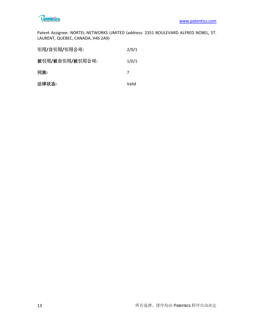

Patent Assignee: NORTEL NETWORKS LIMITED (address: 2351 BOULEVARD ALFRED NOBEL, ST. LAURENT, QUEBEC, CANADA, H4S 2A9)

| 引用/自引用/引用公司:    | 2/0/1 |
|-----------------|-------|
| 被引用/被自引用/被引用公司: | 1/0/1 |
| 同族:             | 7     |
| 法律状态:           | Valid |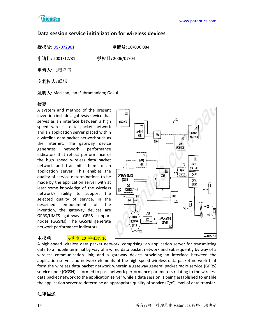

# **Data session service initialization for wireless devices**

授权号**:** [US7072961](http://113.31.18.23/invokexml.do?sf=ShowPatent&spn=7072961&sv=f5e53232c993e0d979687949dda9e9bc) 申请号**:** 10/036,084

申请日**:** 2001/12/31 授权日**:** 2006/07/04

申请人**:** 北电网络

专利权人**:** 联想

发明人**:** Maclean; Ian|Subramaniam; Gokul

# 摘要

A system and method of the present invention include a gateway device that serves as an interface between a high speed wireless data packet network and an application server placed within a wireline data packet network such as the Internet. The gateway device generates network performance indicators that reflect performance of the high speed wireless data packet network and transmits them to an application server. This enables the quality of service determinations to be made by the application server with at least some knowledge of the wireless network's ability to support the selected quality of service. In the described embodiment of the invention, the gateway devices are GPRS/UMTS gateway GPRS support nodes (GGSNs). The GGSNs generate network performance indicators.

# 主权项 专利度: 20 特征度: 16



A high-speed wireless data packet network, comprising: an application server for transmitting data to a mobile terminal by way of a wired data packet network and subsequently by way of a wireless communication link; and a gateway device providing an interface between the application server and network elements of the high speed wireless data packet network that form the wireless data packet network wherein a gateway general packet radio service (GPRS) service node (GGSN) is formed to pass network performance parameters relating to the wireless data packet network to the application server while a data session is being established to enable the application server to determine an appropriate quality of service (QoS) level of data transfer.

# 法律描述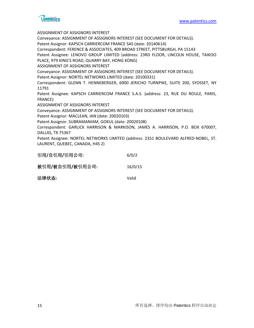

ASSIGNMENT OF ASSIGNORS INTEREST Conveyance: ASSIGNMENT OF ASSIGNORS INTEREST (SEE DOCUMENT FOR DETAILS). Patent Assignor: KAPSCH CARRIERCOM FRANCE SAS (date: 20140614) Correspondent: FERENCE & ASSOCIATES, 409 BROAD STREET, PITTSBURGH, PA 15143 Patent Assignee: LENOVO GROUP LIMITED (address: 23RD FLOOR, LINCOLN HOUSE, TAIKOO PLACE, 979 KING'S ROAD, QUARRY BAY, HONG KONG) ASSIGNMENT OF ASSIGNORS INTEREST Conveyance: ASSIGNMENT OF ASSIGNORS INTEREST (SEE DOCUMENT FOR DETAILS). Patent Assignor: NORTEL NETWORKS LIMITED (date: 20100331) Correspondent: GLENN T. HENNEBERGER, 6900 JERICHO TURNPIKE, SUITE 200, SYOSSET, NY 11791 Patent Assignee: KAPSCH CARRIERCOM FRANCE S.A.S. (address: 23, RUE DU ROULE, PARIS, FRANCE) ASSIGNMENT OF ASSIGNORS INTEREST Conveyance: ASSIGNMENT OF ASSIGNORS INTEREST (SEE DOCUMENT FOR DETAILS). Patent Assignor: MACLEAN, IAN (date: 20020103) Patent Assignor: SUBRAMANIAM, GOKUL (date: 20020108) Correspondent: GARLICK HARRISON & MARKISON, JAMES A. HARRISON, P.O. BOX 670007, DALLAS, TX 75367 Patent Assignee: NORTEL NETWORKS LIMITED (address: 2351 BOULEVARD ALFRED-NOBEL, ST. LAURENT, QUEBEC, CANADA, H4S 2)

| 引用/自引用/引用公司:    | 6/0/2   |
|-----------------|---------|
| 被引用/被自引用/被引用公司: | 16/0/15 |
| 法律状态:           | Valid   |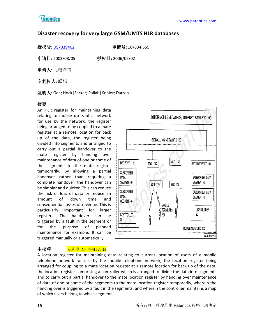

# **Disaster recovery for very large GSM/UMTS HLR databases**

授权号**:** [US7039402](http://113.31.18.23/invokexml.do?sf=ShowPatent&spn=7039402&sv=b49bf48a5b7105975f1799005d5495c4) 申请号**:** 10/634,555

申请日**:** 2003/08/05 授权日**:** 2006/05/02

申请人**:** 北电网络

专利权人**:** 联想

发明人**:** Gan; Hock|Sarkar; Pallab|Kohler; Darren

# 摘要

An HLR register for maintaining data relating to mobile users of a network for use by the network, the register being arranged to be coupled to a mate register at a remote location for back up of the data, the register being divided into segments and arranged to carry out a partial handover to the mate register by handing over maintenance of data of one or some of the segments to the mate register temporarily. By allowing a partial handover rather than requiring a complete handover, the handover can be simpler and quicker. This can reduce the risk of loss of data or reduce an amount of down time and consequential losses of revenue. This is particularly important for larger registers. The handover can be triggered by a fault in the segment or for the purpose of planned maintenance for example. It can be triggered manually or automatically.



# 主权项 <mark>专利度: 14 特征度: 19</mark>

A location register for maintaining data relating to current location of users of a mobile telephone network for use by the mobile telephone network, the location register being arranged for coupling to a mate location register at a remote location for back up of the data, the location register comprising a controller which is arranged to divide the data into segments and to carry out a partial handover to the mate location register by handing over maintenance of data of one or some of the segments to the mate location register temporarily, wherein the handing over is triggered by a fault in the segments, and wherein the controller maintains a map of which users belong to which segment.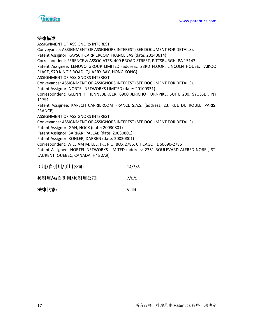

#### 法律描述

ASSIGNMENT OF ASSIGNORS INTEREST Conveyance: ASSIGNMENT OF ASSIGNORS INTEREST (SEE DOCUMENT FOR DETAILS). Patent Assignor: KAPSCH CARRIERCOM FRANCE SAS (date: 20140614) Correspondent: FERENCE & ASSOCIATES, 409 BROAD STREET, PITTSBURGH, PA 15143 Patent Assignee: LENOVO GROUP LIMITED (address: 23RD FLOOR, LINCOLN HOUSE, TAIKOO PLACE, 979 KING'S ROAD, QUARRY BAY, HONG KONG) ASSIGNMENT OF ASSIGNORS INTEREST Conveyance: ASSIGNMENT OF ASSIGNORS INTEREST (SEE DOCUMENT FOR DETAILS). Patent Assignor: NORTEL NETWORKS LIMITED (date: 20100331) Correspondent: GLENN T. HENNEBERGER, 6900 JERICHO TURNPIKE, SUITE 200, SYOSSET, NY 11791 Patent Assignee: KAPSCH CARRIERCOM FRANCE S.A.S. (address: 23, RUE DU ROULE, PARIS, FRANCE) ASSIGNMENT OF ASSIGNORS INTEREST Conveyance: ASSIGNMENT OF ASSIGNORS INTEREST (SEE DOCUMENT FOR DETAILS). Patent Assignor: GAN, HOCK (date: 20030801) Patent Assignor: SARKAR, PALLAB (date: 20030801) Patent Assignor: KOHLER, DARREN (date: 20030801) Correspondent: WILLIAM M. LEE, JR., P.O. BOX 2786, CHICAGO, IL 60690-2786 Patent Assignee: NORTEL NETWORKS LIMITED (address: 2351 BOULEVARD ALFRED-NOBEL, ST. LAURENT, QUEBEC, CANADA, H4S 2A9) 引用**/**自引用**/**引用公司**:** 14/3/8

| 引用/目引用/引用公司:    | 14/3/8 |
|-----------------|--------|
| 被引用/被自引用/被引用公司: | 7/0/5  |
| 法律状态:           | Valid  |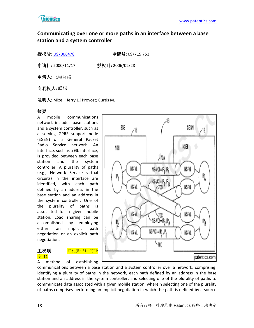

# **Communicating over one or more paths in an interface between a base station and a system controller**

授权号**:** [US7006478](http://113.31.18.23/invokexml.do?sf=ShowPatent&spn=7006478&sv=c1bdb189a716a07f4bd936ab029607fd) 申请号**:** 09/715,753

申请日**:** 2000/11/17 授权日**:** 2006/02/28

申请人**:** 北电网络

专利权人**:** 联想

发明人**:** Mizell; Jerry L.|Provost; Curtis M.

# 摘要

A mobile communications network includes base stations and a system controller, such as a serving GPRS support node (SGSN) of a General Packet Radio Service network. An interface, such as a Gb interface, is provided between each base station and the system controller. A plurality of paths (e.g., Network Service virtual circuits) in the interface are identified, with each path defined by an address in the base station and an address in the system controller. One of the plurality of paths is associated for a given mobile station. Load sharing can be accomplished by employing either an implicit path negotiation or an explicit path negotiation.

# 度: 11

主权项 **专利度: 31 特征** 

A method of establishing



communications between a base station and a system controller over a network, comprising: identifying a plurality of paths in the network, each path defined by an address in the base station and an address in the system controller; and selecting one of the plurality of paths to communicate data associated with a given mobile station, wherein selecting one of the plurality of paths comprises performing an implicit negotiation in which the path is defined by a source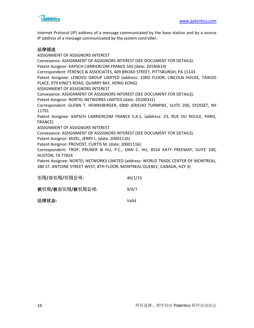

Internet Protocol (IP) address of a message communicated by the base station and by a source IP address of a message communicated by the system controller.

#### 法律描述

ASSIGNMENT OF ASSIGNORS INTEREST Conveyance: ASSIGNMENT OF ASSIGNORS INTEREST (SEE DOCUMENT FOR DETAILS). Patent Assignor: KAPSCH CARRIERCOM FRANCE SAS (date: 20140614) Correspondent: FERENCE & ASSOCIATES, 409 BROAD STREET, PITTSBURGH, PA 15143 Patent Assignee: LENOVO GROUP LIMITED (address: 23RD FLOOR, LINCOLN HOUSE, TAIKOO PLACE, 979 KING'S ROAD, QUARRY BAY, HONG KONG) ASSIGNMENT OF ASSIGNORS INTEREST Conveyance: ASSIGNMENT OF ASSIGNORS INTEREST (SEE DOCUMENT FOR DETAILS). Patent Assignor: NORTEL NETWORKS LIMITED (date: 20100331) Correspondent: GLENN T. HENNEBERGER, 6900 JERICHO TURNPIKE, SUITE 200, SYOSSET, NY 11791 Patent Assignee: KAPSCH CARRIERCOM FRANCE S.A.S. (address: 23, RUE DU ROULE, PARIS, FRANCE) ASSIGNMENT OF ASSIGNORS INTEREST Conveyance: ASSIGNMENT OF ASSIGNORS INTEREST (SEE DOCUMENT FOR DETAILS). Patent Assignor: MIZEL, JERRY L. (date: 20001116) Patent Assignor: PROVOST, CURTIS M. (date: 20001116) Correspondent: TROP, PRUNER & HU, P.C., DAN C. HU, 8554 KATY FREEWAY, SUITE 100, HUSTON, TX 77024 Patent Assignee: NORTEL NETWORKS LIMITED (address: WORLD TRADE CENTER OF MONTREAL, 380 ST. ANTOINE STREET WEST, 8TH FLOOR, MONTREAL QUEBEC, CANADA, H2Y 3)

| 引用/自引用/引用公司:    | 40/1/15 |
|-----------------|---------|
| 被引用/被自引用/被引用公司: | 9/0/7   |

| 法律状态: | Valid |
|-------|-------|
|       |       |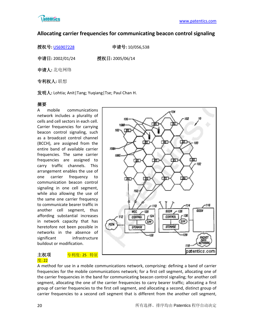

# **Allocating carrier frequencies for communicating beacon control signaling**

授权号**:** [US6907228](http://113.31.18.23/invokexml.do?sf=ShowPatent&spn=6907228&sv=b802f72ee002d4e3e0e6b9e2804ead58) 申请号**:** 10/056,538

申请日**:** 2002/01/24 授权日**:** 2005/06/14

申请人**:** 北电网络

专利权人**:** 联想

发明人**:** Lohtia; Anit|Tang; Yuqiang|Tse; Paul Chan H.

# 摘要

A mobile communications network includes a plurality of cells and cell sectors in each cell. Carrier frequencies for carrying beacon control signaling, such as a broadcast control channel (BCCH), are assigned from the entire band of available carrier frequencies. The same carrier frequencies are assigned to carry traffic channels. This arrangement enables the use of one carrier frequency to communication beacon control signaling in one cell segment, while also allowing the use of the same one carrier frequency to communicate bearer traffic in another cell segment, thus affording substantial increases in network capacity that has heretofore not been possible in networks in the absence of significant infrastructure buildout or modification.

# 度: 22

#### 主权项 <mark>专利度: 25 特征</mark>



A method for use in a mobile communications network, comprising: defining a band of carrier frequencies for the mobile communications network; for a first cell segment, allocating one of the carrier frequencies in the band for communicating beacon control signaling; for another cell segment, allocating the one of the carrier frequencies to carry bearer traffic; allocating a first group of carrier frequencies to the first cell segment, and allocating a second, distinct group of carrier frequencies to a second cell segment that is different from the another cell segment,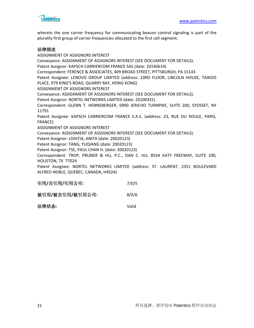

wherein the one carrier frequency for communicating beacon control signaling is part of the plurality first group of carrier frequencies allocated to the first cell segment.

#### 法律描述

ASSIGNMENT OF ASSIGNORS INTEREST Conveyance: ASSIGNMENT OF ASSIGNORS INTEREST (SEE DOCUMENT FOR DETAILS). Patent Assignor: KAPSCH CARRIERCOM FRANCE SAS (date: 20140614) Correspondent: FERENCE & ASSOCIATES, 409 BROAD STREET, PITTSBURGH, PA 15143 Patent Assignee: LENOVO GROUP LIMITED (address: 23RD FLOOR, LINCOLN HOUSE, TAIKOO PLACE, 979 KING'S ROAD, QUARRY BAY, HONG KONG) ASSIGNMENT OF ASSIGNORS INTEREST Conveyance: ASSIGNMENT OF ASSIGNORS INTEREST (SEE DOCUMENT FOR DETAILS). Patent Assignor: NORTEL NETWORKS LIMITED (date: 20100331) Correspondent: GLENN T. HENNEBERGER, 6900 JERICHO TURNPIKE, SUITE 200, SYOSSET, NY 11791 Patent Assignee: KAPSCH CARRIERCOM FRANCE S.A.S. (address: 23, RUE DU ROULE, PARIS, FRANCE) ASSIGNMENT OF ASSIGNORS INTEREST Conveyance: ASSIGNMENT OF ASSIGNORS INTEREST (SEE DOCUMENT FOR DETAILS). Patent Assignor: LOHITIA, ANITA (date: 20020123) Patent Assignor: TANG, YUQIANG (date: 20020123) Patent Assignor: TSE, PAUL CHAN H. (date: 20020123) Correspondent: TROP, PRUNER & HU, P.C., DAN C. HU, 8554 KATY FREEWAY, SUITE 100, HOUSTON, TX 77024 Patent Assignee: NORTEL NETWORKS LIMITED (address: ST. LAURENT, 2351 BOULEVARD ALFRED-NOBLE, QUEBEC, CANADA, H4S2A)

| 引用/自引用/引用公司: | 7/0/5 |
|--------------|-------|
|              |       |

| 被引用/被自引用/被引用公司: | 8/0/6 |
|-----------------|-------|
|                 |       |

| 法律状态: | Valid |
|-------|-------|
|       |       |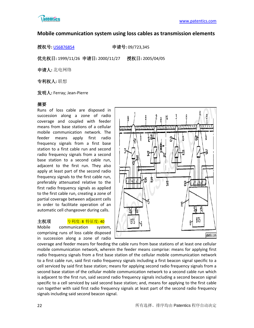

# **Mobile communication system using loss cables as transmission elements**

授权号**:** [US6876854](http://113.31.18.23/invokexml.do?sf=ShowPatent&spn=6876854&sv=d7f17c02b6ca7e5678ec8b8c684e0bc7) 申请号**:** 09/723,345

优先权日**:** 1999/11/26 申请日**:** 2000/11/27 授权日**:** 2005/04/05

申请人**:** 北电网络

专利权人**:** 联想

发明人**:** Ferray; Jean-Pierre

# 摘要

Runs of loss cable are disposed in succession along a zone of radio coverage and coupled with feeder means from base stations of a cellular mobile communication network. The feeder means apply first radio frequency signals from a first base station to a first cable run and second radio frequency signals from a second base station to a second cable run, adjacent to the first run. They also apply at least part of the second radio frequency signals to the first cable run, preferably attenuated relative to the first radio frequency signals as applied to the first cable run, creating a zone of partial coverage between adjacent cells in order to facilitate operation of an automatic cell changeover during calls.

#### 主权项 <mark>专利度: 8 特征度: 40</mark>

Mobile communication system, comprising runs of loss cable disposed in succession along a zone of radio



coverage and feeder means for feeding the cable runs from base stations of at least one cellular mobile communication network, wherein the feeder means comprise: means for applying first radio frequency signals from a first base station of the cellular mobile communication network to a first cable run, said first radio frequency signals including a first beacon signal specific to a cell serviced by said first base station; means for applying second radio frequency signals from a second base station of the cellular mobile communication network to a second cable run which is adjacent to the first run, said second radio frequency signals including a second beacon signal specific to a cell serviced by said second base station; and, means for applying to the first cable run together with said first radio frequency signals at least part of the second radio frequency signals including said second beacon signal.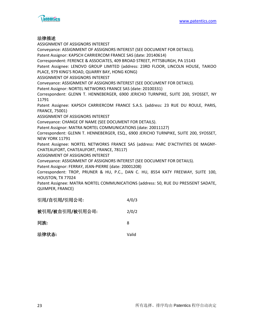



#### 法律描述

ASSIGNMENT OF ASSIGNORS INTEREST Conveyance: ASSIGNMENT OF ASSIGNORS INTEREST (SEE DOCUMENT FOR DETAILS). Patent Assignor: KAPSCH CARRIERCOM FRANCE SAS (date: 20140614) Correspondent: FERENCE & ASSOCIATES, 409 BROAD STREET, PITTSBURGH, PA 15143 Patent Assignee: LENOVO GROUP LIMITED (address: 23RD FLOOR, LINCOLN HOUSE, TAIKOO PLACE, 979 KING'S ROAD, QUARRY BAY, HONG KONG) ASSIGNMENT OF ASSIGNORS INTEREST Conveyance: ASSIGNMENT OF ASSIGNORS INTEREST (SEE DOCUMENT FOR DETAILS). Patent Assignor: NORTEL NETWORKS FRANCE SAS (date: 20100331) Correspondent: GLENN T. HENNEBERGER, 6900 JERICHO TURNPIKE, SUITE 200, SYOSSET, NY 11791 Patent Assignee: KAPSCH CARRIERCOM FRANCE S.A.S. (address: 23 RUE DU ROULE, PARIS, FRANCE, 75001) ASSIGNMENT OF ASSIGNORS INTEREST Conveyance: CHANGE OF NAME (SEE DOCUMENT FOR DETAILS). Patent Assignor: MATRA NORTEL COMMUNICATIONS (date: 20011127) Correspondent: GLENN T. HENNEBERGER, ESQ., 6900 JERICHO TURNPIKE, SUITE 200, SYOSSET, NEW YORK 11791 Patent Assignee: NORTEL NETWORKS FRANCE SAS (address: PARC D'ACTIVITIES DE MAGNY-CHATEAUFORT, CHATEAUFORT, FRANCE, 78117) ASSIGNMENT OF ASSIGNORS INTEREST Conveyance: ASSIGNMENT OF ASSIGNORS INTEREST (SEE DOCUMENT FOR DETAILS). Patent Assignor: FERRAY, JEAN-PIERRE (date: 20001208) Correspondent: TROP, PRUNER & HU, P.C., DAN C. HU, 8554 KATY FREEWAY, SUITE 100, HOUSTON, TX 77024 Patent Assignee: MATRA NORTEL COMMUNICATIONS (address: 50, RUE DU PRESISENT SADATE, QUIMPER, FRANCE)

| 引用/自引用/引用公司:    | 4/0/3 |
|-----------------|-------|
| 被引用/被自引用/被引用公司: | 2/0/2 |
| 同族:             | 8     |
| 法律状态:           | Valid |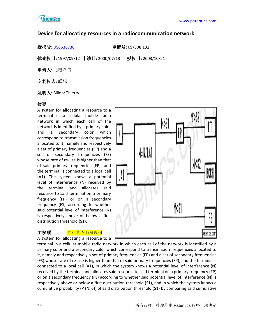

# **Device for allocating resources in a radiocommunication network**

授权号**:** [US6636736](http://113.31.18.23/invokexml.do?sf=ShowPatent&spn=6636736&sv=848dbe0f4b18af54f2db0999ab63cf23) 申请号**:** 09/508,132

优先权日**:** 1997/09/12 申请日**:** 2000/07/13 授权日**:** 2003/10/21

申请人**:** 北电网络

专利权人**:** 联想

发明人**:** Billon; Thierry

# 摘要

A system for allocating a resource to a terminal in a cellular mobile radio network in which each cell of the network is identified by a primary color and a secondary color which correspond to transmission frequencies allocated to it, namely and respectively a set of primary frequencies (FP) and a set of secondary frequencies (FS) whose rate of re-use is higher than that of said primary frequencies (FP), and the terminal is connected to a local cell (A1). The system knows a potential level of interference (N) received by the terminal and allocates said resource to said terminal on a primary frequency (FP) or on a secondary frequency (FS) according to whether said potential level of interference (N) is respectively above or below a first distribution threshold (S1).



主权项 <mark>专利度: 9 特征度: 4</mark> A system for allocating a resource to a

terminal in a cellular mobile radio network in which each cell of the network is identified by a primary color and a secondary color which correspond to transmission frequencies allocated to it, namely and respectively a set of primary frequencies (FP) and a set of secondary frequencies (FS) whose rate of re-use is higher than that of said primary frequencies (FP), and the terminal is connected to a local cell (A1), in which the system knows a potential level of interference (N) received by the terminal and allocates said resourse to said terminal on a primary frequency (FP) or on a secondary frequency (FS) according to whether said potential level of interference (N) is respectively above or below a first distribution threshold (S1), and in which the system knows a cumulative probability (P (N>S)) of said distribution threshold (S1) by comparing said cumulative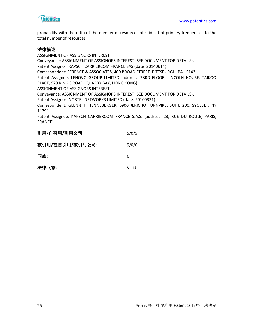

probability with the ratio of the number of resources of said set of primary frequencies to the total number of resources.

#### 法律描述

FRANCE)

ASSIGNMENT OF ASSIGNORS INTEREST Conveyance: ASSIGNMENT OF ASSIGNORS INTEREST (SEE DOCUMENT FOR DETAILS). Patent Assignor: KAPSCH CARRIERCOM FRANCE SAS (date: 20140614) Correspondent: FERENCE & ASSOCIATES, 409 BROAD STREET, PITTSBURGH, PA 15143 Patent Assignee: LENOVO GROUP LIMITED (address: 23RD FLOOR, LINCOLN HOUSE, TAIKOO PLACE, 979 KING'S ROAD, QUARRY BAY, HONG KONG) ASSIGNMENT OF ASSIGNORS INTEREST Conveyance: ASSIGNMENT OF ASSIGNORS INTEREST (SEE DOCUMENT FOR DETAILS). Patent Assignor: NORTEL NETWORKS LIMITED (date: 20100331) Correspondent: GLENN T. HENNEBERGER, 6900 JERICHO TURNPIKE, SUITE 200, SYOSSET, NY 11791 Patent Assignee: KAPSCH CARRIERCOM FRANCE S.A.S. (address: 23, RUE DU ROULE, PARIS,

| 引用/自引用/引用公司:    | 5/0/5 |
|-----------------|-------|
| 被引用/被自引用/被引用公司: | 9/0/6 |
| 同族:             | 6     |
| 法律状态:           | Valid |
|                 |       |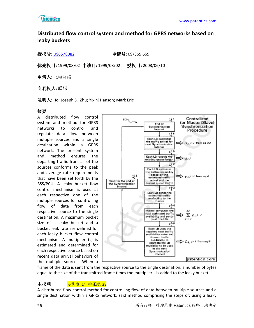

# **Distributed flow control system and method for GPRS networks based on leaky buckets**

授权号**:** [US6578082](http://113.31.18.23/invokexml.do?sf=ShowPatent&spn=6578082&sv=fb4303a0d1277c22e909a1ddf0047a57) 申请号**:** 09/365,669

优先权日**:** 1999/08/02 申请日**:** 1999/08/02 授权日**:** 2003/06/10

申请人**:** 北电网络

专利权人**:** 联想

发明人**:** Ho; Joseph S.|Zhu; Yixin|Hanson; Mark Eric

# 摘要

A distributed flow control system and method for GPRS networks to control and regulate data flow between multiple sources and a single destination within a GPRS network. The present system and method ensures the departing traffic from all of the sources conforms to the peak and average rate requirements that have been set forth by the BSS/PCU. A leaky bucket flow control mechanism is used at each respective one of the multiple sources for controlling flow of data from each respective source to the single destination. A maximum bucket size of a leaky bucket and a bucket leak rate are defined for each leaky bucket flow control mechanism. A multiplier (L) is estimated and determined for each respective source based on recent data arrival behaviors of the multiple sources. When a



frame of the data is sent from the respective source to the single destination, a number of bytes equal to the size of the transmitted frame times the multiplier L is added to the leaky bucket.

# 主权项 <mark>专利度: 14 特征度: 28</mark>

A distributed flow control method for controlling flow of data between multiple sources and a single destination within a GPRS network, said method comprising the steps of: using a leaky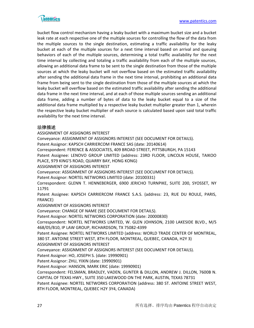

bucket flow control mechanism having a leaky bucket with a maximum bucket size and a bucket leak rate at each respective one of the multiple sources for controlling the flow of the data from the multiple sources to the single destination, estimating a traffic availability for the leaky bucket at each of the multiple sources for a next time interval based on arrival and queuing behaviors of each of the multiple sources, determining a total traffic availability for the next time interval by collecting and totaling a traffic availability from each of the multiple sources, allowing an additional data frame to be sent to the single destination from those of the multiple sources at which the leaky bucket will not overflow based on the estimated traffic availability after sending the additional data frame in the next time interval, prohibiting an additional data frame from being sent to the single destination from those of the multiple sources at which the leaky bucket will overflow based on the estimated traffic availability after sending the additional data frame in the next time interval, and at each of those multiple sources sending an additional data frame, adding a number of bytes of data to the leaky bucket equal to a size of the additional data frame multiplied by a respective leaky bucket multiplier greater than 1, wherein the respective leaky bucket multiplier of each source is calculated based upon said total traffic availability for the next time interval.

# 法律描述

ASSIGNMENT OF ASSIGNORS INTEREST Conveyance: ASSIGNMENT OF ASSIGNORS INTEREST (SEE DOCUMENT FOR DETAILS). Patent Assignor: KAPSCH CARRIERCOM FRANCE SAS (date: 20140614) Correspondent: FERENCE & ASSOCIATES, 409 BROAD STREET, PITTSBURGH, PA 15143 Patent Assignee: LENOVO GROUP LIMITED (address: 23RD FLOOR, LINCOLN HOUSE, TAIKOO PLACE, 979 KING'S ROAD, QUARRY BAY, HONG KONG) ASSIGNMENT OF ASSIGNORS INTEREST Conveyance: ASSIGNMENT OF ASSIGNORS INTEREST (SEE DOCUMENT FOR DETAILS). Patent Assignor: NORTEL NETWORKS LIMITED (date: 20100331) Correspondent: GLENN T. HENNEBERGER, 6900 JERICHO TURNPIKE, SUITE 200, SYOSSET, NY 11791 Patent Assignee: KAPSCH CARRIERCOM FRANCE S.A.S. (address: 23, RUE DU ROULE, PARIS, FRANCE) ASSIGNMENT OF ASSIGNORS INTEREST Conveyance: CHANGE OF NAME (SEE DOCUMENT FOR DETAILS). Patent Assignor: NORTEL NETWORKS CORPORATION (date: 20000830) Correspondent: NORTEL NETWORKS LIMITED, W. GLEN JOHNSON, 2100 LAKESIDE BLVD., M/S 468/05/B10, IP LAW GROUP, RICHARDSON, TX 75082-4399 Patent Assignee: NORTEL NETWORKS LIMITED (address: WORLD TRADE CENTER OF MONTREAL, 380 ST. ANTOINE STREET WEST, 8TH FLOOR, MONTREAL, QUEBEC, CANADA, H2Y 3) ASSIGNMENT OF ASSIGNORS INTEREST Conveyance: ASSIGNMENT OF ASSIGNORS INTEREST (SEE DOCUMENT FOR DETAILS). Patent Assignor: HO, JOSEPH S. (date: 19990901) Patent Assignor: ZHU, YIXIN (date: 19990901) Patent Assignor: HANSON, MARK ERIC (date: 19990901) Correspondent: FELSMAN, BRADLEY, VADEN, GUNTER & DILLON, ANDREW J. DILLON, 7600B N. CAPITAL OF TEXAS HWY., SUITE 350 LAKEWOOD ON THE PARK, AUSTIN, TEXAS 78731 Patent Assignee: NORTEL NETWORKS CORPORATION (address: 380 ST. ANTOINE STREET WEST,

8TH FLOOR, MONTREAL, QUEBEC H2Y 3Y4, CANADA)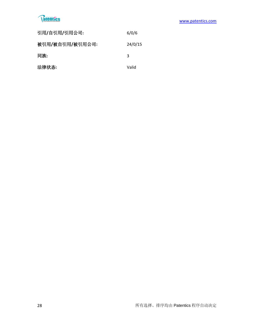# **Ratentics**

| 引用/自引用/引用公司:    | 6/0/6   |
|-----------------|---------|
| 被引用/被自引用/被引用公司: | 24/0/15 |
| 同族:             | 3       |
| 法律状态:           | Valid   |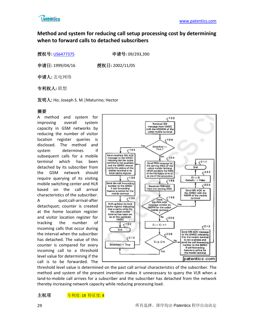

# **Method and system for reducing call setup processing cost by determining when to forward calls to detached subscribers**

授权号**:** [US6477375](http://113.31.18.23/invokexml.do?sf=ShowPatent&spn=6477375&sv=2f31cd89e02bb8ba80558cb6152817ed) 申请号**:** 09/293,390

申请日**:** 1999/04/16 授权日**:** 2002/11/05

申请人**:** 北电网络

专利权人**:** 联想

发明人**:** Ho; Joseph S. M.|Maturino; Hector

# 摘要

A method and system for improving overall system capacity in GSM networks by reducing the number of visitor location register queries is disclosed. The method and system determines if subsequent calls for a mobile terminal which has been detached by its subscriber from the GSM network should require querying of its visiting mobile switching center and HLR based on the call arrival characteristics of the subscriber. A quot;call-arrival-after detachquot; counter is created at the home location register and visitor location register for tracking the number of incoming calls that occur during the interval when the subscriber has detached. The value of this counter is compared for every incoming call to a threshold level value for determining if the call is to be forwarded. The



threshold level value is determined on the past call arrival characteristics of the subscriber. The method and system of the present invention makes it unnecessary to query the VLR when a land-to-mobile call arrives for a subscriber and the subscriber has detached from the network thereby increasing network capacity while reducing processing load.

主权项 <mark>专利度: 18 特征度: 8</mark>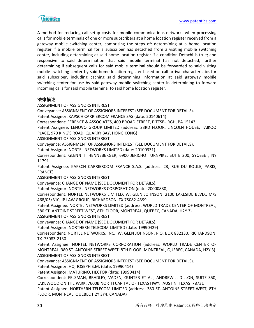

A method for reducing call setup costs for mobile communications networks when processing calls for mobile terminals of one or more subscribers at a home location register received from a gateway mobile switching center, comprising the steps of: determining at a home location register if a mobile terminal for a subscriber has detached from a visiting mobile switching center, including determining at said home location register if a condition Detachi is true; and responsive to said determination that said mobile terminal has not detached, further determining if subsequent calls for said mobile terminal should be forwarded to said visiting mobile switching center by said home location register based on call arrival characteristics for said subscriber, including caching said determining information at said gateway mobile switching center for use by said gateway mobile switching center in determining to forward incoming calls for said mobile terminal to said home location register.

#### 法律描述

ASSIGNMENT OF ASSIGNORS INTEREST

Conveyance: ASSIGNMENT OF ASSIGNORS INTEREST (SEE DOCUMENT FOR DETAILS).

Patent Assignor: KAPSCH CARRIERCOM FRANCE SAS (date: 20140614)

Correspondent: FERENCE & ASSOCIATES, 409 BROAD STREET, PITTSBURGH, PA 15143

Patent Assignee: LENOVO GROUP LIMITED (address: 23RD FLOOR, LINCOLN HOUSE, TAIKOO PLACE, 979 KING'S ROAD, QUARRY BAY, HONG KONG)

ASSIGNMENT OF ASSIGNORS INTEREST

Conveyance: ASSIGNMENT OF ASSIGNORS INTEREST (SEE DOCUMENT FOR DETAILS).

Patent Assignor: NORTEL NETWORKS LIMITED (date: 20100331)

Correspondent: GLENN T. HENNEBERGER, 6900 JERICHO TURNPIKE, SUITE 200, SYOSSET, NY 11791

Patent Assignee: KAPSCH CARRIERCOM FRANCE S.A.S. (address: 23, RUE DU ROULE, PARIS, FRANCE)

ASSIGNMENT OF ASSIGNORS INTEREST

Conveyance: CHANGE OF NAME (SEE DOCUMENT FOR DETAILS).

Patent Assignor: NORTEL NETWORKS CORPORATION (date: 20000830)

Correspondent: NORTEL NETWORKS LIMITED, W. GLEN JOHNSON, 2100 LAKESIDE BLVD., M/S 468/05/B10, IP LAW GROUP, RICHARDSON, TX 75082-4399

Patent Assignee: NORTEL NETWORKS LIMITED (address: WORLD TRADE CENTER OF MONTREAL, 380 ST. ANTOINE STREET WEST, 8TH FLOOR, MONTREAL, QUEBEC, CANADA, H2Y 3)

ASSIGNMENT OF ASSIGNORS INTEREST

Conveyance: CHANGE OF NAME (SEE DOCUMENT FOR DETAILS).

Patent Assignor: NORTHERN TELECOM LIMITED (date: 19990429)

Correspondent: NORTEL NETWORKS, INC., W. GLEN JOHNSON, P.O. BOX 832130, RICHARDSON, TX 75083-2130

Patent Assignee: NORTEL NETWORKS CORPORATION (address: WORLD TRADE CENTER OF MONTREAL, 380 ST. ANTOINE STREET WEST, 8TH FLOOR, MONTREAL, QUEBEC, CANADA, H2Y 3) ASSIGNMENT OF ASSIGNORS INTEREST

Conveyance: ASSIGNMENT OF ASSIGNORS INTEREST (SEE DOCUMENT FOR DETAILS).

Patent Assignor: HO, JOSEPH S.M. (date: 19990414)

Patent Assignor: MATURINO, HECTOR (date: 19990414)

Correspondent: FELSMAN, BRADLEY, VADEN, GUNTER ET AL., ANDREW J. DILLON, SUITE 350, LAKEWOOD ON THE PARK, 7600B NORTH CAPITAL OF TEXAS HWY., AUSTIN, TEXAS 78731

Patent Assignee: NORTHERN TELECOM LIMITED (address: 380 ST. ANTOINE STREET WEST, 8TH FLOOR, MONTREAL, QUEBEC H2Y 3Y4, CANADA)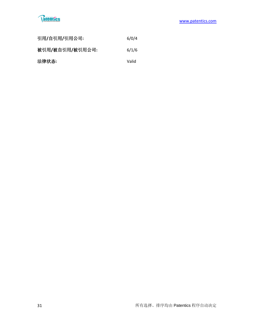

| 引用/自引用/引用公司:    | 6/0/4 |
|-----------------|-------|
| 被引用/被自引用/被引用公司: | 6/1/6 |
| 法律状态:           | Valid |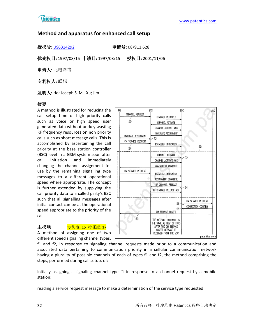

# **Method and apparatus for enhanced call setup**

授权号**:** [US6314292](http://113.31.18.23/invokexml.do?sf=ShowPatent&spn=6314292&sv=ae0cdb9f7a35b81ef0fd17351355bd29) 申请号**:** 08/911,628

优先权日**:** 1997/08/15 申请日**:** 1997/08/15 授权日**:** 2001/11/06

申请人**:** 北电网络

专利权人**:** 联想

发明人**:** Ho; Joseph S. M.|Xu; Jim

# 摘要

A method is illustrated for reducing the call setup time of high priority calls such as voice or high speed user generated data without unduly wasting RF frequency resources on non priority calls such as short message calls. This is accomplished by ascertaining the call priority at the base station controller (BSC) level in a GSM system soon after call initiation and immediately changing the channel assignment for use by the remaining signalling type messages to a different operational speed where appropriate. The concept is further extended by supplying the call priority data to a called party's BSC such that all signalling messages after initial contact can be at the operational speed appropriate to the priority of the call.



# 主权项 <mark>专利度: 15 特征度: 17</mark>

A method of assigning one of two different speed signaling channel types,

f1 and f2, in response to signaling channel requests made prior to a communication and associated data pertaining to communication priority in a cellular communication network having a plurality of possible channels of each of types f1 and f2, the method comprising the steps, performed during call setup, of:

initially assigning a signaling channel type f1 in response to a channel request by a mobile station;

reading a service request message to make a determination of the service type requested;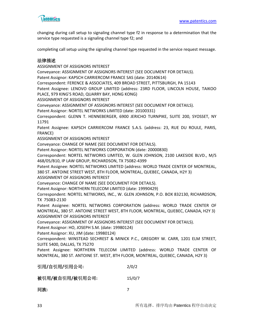

changing during call setup to signaling channel type f2 in response to a determination that the service type requested is a signaling channel type f2; and

completing call setup using the signaling channel type requested in the service request message.

#### 法律描述

ASSIGNMENT OF ASSIGNORS INTEREST Conveyance: ASSIGNMENT OF ASSIGNORS INTEREST (SEE DOCUMENT FOR DETAILS). Patent Assignor: KAPSCH CARRIERCOM FRANCE SAS (date: 20140614) Correspondent: FERENCE & ASSOCIATES, 409 BROAD STREET, PITTSBURGH, PA 15143 Patent Assignee: LENOVO GROUP LIMITED (address: 23RD FLOOR, LINCOLN HOUSE, TAIKOO PLACE, 979 KING'S ROAD, QUARRY BAY, HONG KONG) ASSIGNMENT OF ASSIGNORS INTEREST Conveyance: ASSIGNMENT OF ASSIGNORS INTEREST (SEE DOCUMENT FOR DETAILS). Patent Assignor: NORTEL NETWORKS LIMITED (date: 20100331) Correspondent: GLENN T. HENNEBERGER, 6900 JERICHO TURNPIKE, SUITE 200, SYOSSET, NY 11791 Patent Assignee: KAPSCH CARRIERCOM FRANCE S.A.S. (address: 23, RUE DU ROULE, PARIS, FRANCE) ASSIGNMENT OF ASSIGNORS INTEREST Conveyance: CHANGE OF NAME (SEE DOCUMENT FOR DETAILS). Patent Assignor: NORTEL NETWORKS CORPORATION (date: 20000830) Correspondent: NORTEL NETWORKS LIMITED, W. GLEN JOHNSON, 2100 LAKESIDE BLVD., M/S 468/05/B10, IP LAW GROUP, RICHARDSON, TX 75082-4399 Patent Assignee: NORTEL NETWORKS LIMITED (address: WORLD TRADE CENTER OF MONTREAL, 380 ST. ANTOINE STREET WEST, 8TH FLOOR, MONTREAL, QUEBEC, CANADA, H2Y 3) ASSIGNMENT OF ASSIGNORS INTEREST Conveyance: CHANGE OF NAME (SEE DOCUMENT FOR DETAILS). Patent Assignor: NORTHERN TELECOM LIMITED (date: 19990429) Correspondent: NORTEL NETWORKS, INC., W. GLEN JOHNSON, P.O. BOX 832130, RICHARDSON, TX 75083-2130 Patent Assignee: NORTEL NETWORKS CORPORATION (address: WORLD TRADE CENTER OF MONTREAL, 380 ST. ANTOINE STREET WEST, 8TH FLOOR, MONTREAL, QUEBEC, CANADA, H2Y 3) ASSIGNMENT OF ASSIGNORS INTEREST Conveyance: ASSIGNMENT OF ASSIGNORS INTEREST (SEE DOCUMENT FOR DETAILS). Patent Assignor: HO, JOSEPH S.M. (date: 19980124) Patent Assignor: XU, JIM (date: 19980124) Correspondent: WINSTEAD SECHREST & MINICK P.C., GREGORY W. CARR, 1201 ELM STREET, SUITE 5400, DALLAS, TX 75270 Patent Assignee: NORTHERN TELECOM LIMITED (address: WORLD TRADE CENTER OF MONTREAL, 380 ST. ANTOINE ST. WEST, 8TH FLOOR, MONTREAL, QUEBEC, CANADA, H2Y 3) 引用**/**自引用**/**引用公司**:** 2/0/2 被引用**/**被自引用**/**被引用公司**:** 15/0/7 同族**:** 7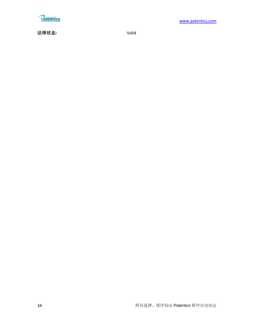

法律状态**:** Valid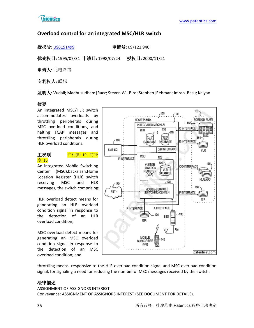

# **Overload control for an integrated MSC/HLR switch**

授权号**:** [US6151499](http://113.31.18.23/invokexml.do?sf=ShowPatent&spn=6151499&sv=4055d2118e80189406a523be4f705857) 申请号**:** 09/121,940

优先权日**:** 1995/07/31 申请日**:** 1998/07/24 授权日**:** 2000/11/21

申请人**:** 北电网络

专利权人**:** 联想

发明人**:** Vudali; Madhusudham|Racz; Steven W.|Bird; Stephen|Rehman; Imran|Basu; Kalyan

# 摘要

An integrated MSC/HLR switch accommodates overloads by throttling peripherals during MSC overload conditions, and halting TCAP messages and throttling peripherals during HLR overload conditions.

#### 主权项 <mark>专利度: 19 特征</mark> 度: 15

#### An integrated Mobile Switching Center (MSC).backslash.Home Location Register (HLR) switch receiving MSC and HLR messages, the switch comprising:

HLR overload detect means for generating an HLR overload condition signal in response to the detection of an HLR overload condition;

MSC overload detect means for generating an MSC overload condition signal in response to the detection of an MSC overload condition; and



throttling means, responsive to the HLR overload condition signal and MSC overload condition signal, for signaling a need for reducing the number of MSC messages received by the switch.

# 法律描述

#### ASSIGNMENT OF ASSIGNORS INTEREST Conveyance: ASSIGNMENT OF ASSIGNORS INTEREST (SEE DOCUMENT FOR DETAILS).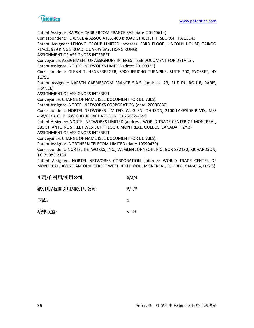

Patent Assignor: KAPSCH CARRIERCOM FRANCE SAS (date: 20140614) Correspondent: FERENCE & ASSOCIATES, 409 BROAD STREET, PITTSBURGH, PA 15143 Patent Assignee: LENOVO GROUP LIMITED (address: 23RD FLOOR, LINCOLN HOUSE, TAIKOO PLACE, 979 KING'S ROAD, QUARRY BAY, HONG KONG) ASSIGNMENT OF ASSIGNORS INTEREST Conveyance: ASSIGNMENT OF ASSIGNORS INTEREST (SEE DOCUMENT FOR DETAILS). Patent Assignor: NORTEL NETWORKS LIMITED (date: 20100331) Correspondent: GLENN T. HENNEBERGER, 6900 JERICHO TURNPIKE, SUITE 200, SYOSSET, NY 11791 Patent Assignee: KAPSCH CARRIERCOM FRANCE S.A.S. (address: 23, RUE DU ROULE, PARIS, FRANCE) ASSIGNMENT OF ASSIGNORS INTEREST Conveyance: CHANGE OF NAME (SEE DOCUMENT FOR DETAILS). Patent Assignor: NORTEL NETWORKS CORPORATION (date: 20000830) Correspondent: NORTEL NETWORKS LIMITED, W. GLEN JOHNSON, 2100 LAKESIDE BLVD., M/S 468/05/B10, IP LAW GROUP, RICHARDSON, TX 75082-4399 Patent Assignee: NORTEL NETWORKS LIMITED (address: WORLD TRADE CENTER OF MONTREAL, 380 ST. ANTOINE STREET WEST, 8TH FLOOR, MONTREAL, QUEBEC, CANADA, H2Y 3) ASSIGNMENT OF ASSIGNORS INTEREST Conveyance: CHANGE OF NAME (SEE DOCUMENT FOR DETAILS). Patent Assignor: NORTHERN TELECOM LIMITED (date: 19990429) Correspondent: NORTEL NETWORKS, INC., W. GLEN JOHNSON, P.O. BOX 832130, RICHARDSON, TX 75083-2130 Patent Assignee: NORTEL NETWORKS CORPORATION (address: WORLD TRADE CENTER OF MONTREAL, 380 ST. ANTOINE STREET WEST, 8TH FLOOR, MONTREAL, QUEBEC, CANADA, H2Y 3)

| 引用/自引用/引用公司:    | 8/2/4 |
|-----------------|-------|
| 被引用/被自引用/被引用公司: | 6/1/5 |
| 同族:             | 1     |
| 法律状态:           | Valid |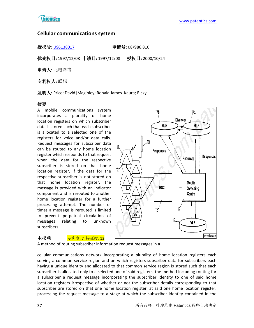

# **Cellular communications system**

授权号**:** [US6138017](http://113.31.18.23/invokexml.do?sf=ShowPatent&spn=6138017&sv=b9a68ee7d656648c86ad0fda3c4df3dc) 申请号**:** 08/986,810

优先权日**:** 1997/12/08 申请日**:** 1997/12/08 授权日**:** 2000/10/24

申请人**:** 北电网络

专利权人**:** 联想

发明人**:** Price; David|Maginley; Ronald James|Kaura; Ricky

# 摘要

A mobile communications system incorporates a plurality of home location registers on which subscriber data is stored such that each subscriber is allocated to a selected one of the registers for voice and/or data calls. Request messages for subscriber data can be routed to any home location register which responds to that request when the data for the respective subscriber is stored on that home location register. If the data for the respective subscriber is not stored on that home location register, the message is provided with an indicator component and is rerouted to another home location register for a further processing attempt. The number of times a message is rerouted is limited to prevent perpetual circulation of messages relating to unknown subscribers.



#### 主权项 **专利度: 7 特征度: 13**

A method of routing subscriber information request messages in a

cellular communications network incorporating a plurality of home location registers each serving a common service region and on which registers subscriber data for subscribers each having a unique identity and allocated to that common service region is stored such that each subscriber is allocated only to a selected one of said registers, the method including routing for a subscriber a request message incorporating the subscriber identity to one of said home location registers irrespective of whether or not the subscriber details corresponding to that subscriber are stored on that one home location register, at said one home location register, processing the request message to a stage at which the subscriber identity contained in the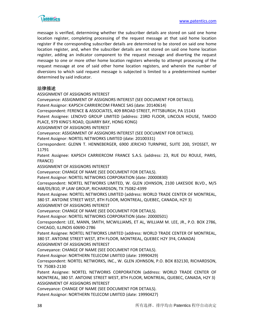

message is verified, determining whether the subscriber details are stored on said one home location register, completing processing of the request message at that said home location register if the corresponding subscriber details are determined to be stored on said one home location register, and, when the subscriber details are not stored on said one home location register, adding an indicator component to the request message and diverting the request message to one or more other home location registers whereby to attempt processing of the request message at one of said other home location registers, and wherein the number of diversions to which said request message is subjected is limited to a predetermined number determined by said indicator.

#### 法律描述

ASSIGNMENT OF ASSIGNORS INTEREST Conveyance: ASSIGNMENT OF ASSIGNORS INTEREST (SEE DOCUMENT FOR DETAILS). Patent Assignor: KAPSCH CARRIERCOM FRANCE SAS (date: 20140614) Correspondent: FERENCE & ASSOCIATES, 409 BROAD STREET, PITTSBURGH, PA 15143 Patent Assignee: LENOVO GROUP LIMITED (address: 23RD FLOOR, LINCOLN HOUSE, TAIKOO PLACE, 979 KING'S ROAD, QUARRY BAY, HONG KONG) ASSIGNMENT OF ASSIGNORS INTEREST Conveyance: ASSIGNMENT OF ASSIGNORS INTEREST (SEE DOCUMENT FOR DETAILS). Patent Assignor: NORTEL NETWORKS LIMITED (date: 20100331) Correspondent: GLENN T. HENNEBERGER, 6900 JERICHO TURNPIKE, SUITE 200, SYOSSET, NY 11791 Patent Assignee: KAPSCH CARRIERCOM FRANCE S.A.S. (address: 23, RUE DU ROULE, PARIS, FRANCE) ASSIGNMENT OF ASSIGNORS INTEREST Conveyance: CHANGE OF NAME (SEE DOCUMENT FOR DETAILS). Patent Assignor: NORTEL NETWORKS CORPORATION (date: 20000830) Correspondent: NORTEL NETWORKS LIMITED, W. GLEN JOHNSON, 2100 LAKESIDE BLVD., M/S 468/05/B10, IP LAW GROUP, RICHARDSON, TX 75082-4399 Patent Assignee: NORTEL NETWORKS LIMITED (address: WORLD TRADE CENTER OF MONTREAL, 380 ST. ANTOINE STREET WEST, 8TH FLOOR, MONTREAL, QUEBEC, CANADA, H2Y 3) ASSIGNMENT OF ASSIGNORS INTEREST Conveyance: CHANGE OF NAME (SEE DOCUMENT FOR DETAILS). Patent Assignor: NORTEL NETWORKS CORPORATION (date: 20000501) Correspondent: LEE, MANN, SMITH, MCWILLIAMS, ET AL, WILLIAM M. LEE, JR., P.O. BOX 2786, CHICAGO, ILLINOIS 60690-2786 Patent Assignee: NORTEL NETWORKS LIMITED (address: WORLD TRADE CENTER OF MONTREAL, 380 ST. ANTOINE STREET WEST, 8TH FLOOR, MONTREAL, QUEBEC H2Y 3Y4, CANADA) ASSIGNMENT OF ASSIGNORS INTEREST Conveyance: CHANGE OF NAME (SEE DOCUMENT FOR DETAILS). Patent Assignor: NORTHERN TELECOM LIMITED (date: 19990429) Correspondent: NORTEL NETWORKS, INC., W. GLEN JOHNSON, P.O. BOX 832130, RICHARDSON, TX 75083-2130 Patent Assignee: NORTEL NETWORKS CORPORATION (address: WORLD TRADE CENTER OF MONTREAL, 380 ST. ANTOINE STREET WEST, 8TH FLOOR, MONTREAL, QUEBEC, CANADA, H2Y 3) ASSIGNMENT OF ASSIGNORS INTEREST Conveyance: CHANGE OF NAME (SEE DOCUMENT FOR DETAILS).

Patent Assignor: NORTHERN TELECOM LIMITED (date: 19990427)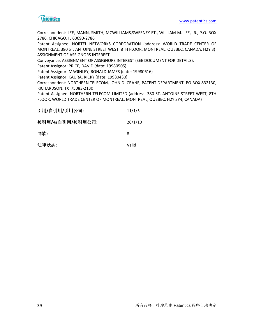

Correspondent: LEE, MANN, SMITH, MCWILLIAMS,SWEENEY ET., WILLIAM M. LEE, JR., P.O. BOX 2786, CHICAGO, IL 60690-2786

Patent Assignee: NORTEL NETWORKS CORPORATION (address: WORLD TRADE CENTER OF MONTREAL, 380 ST. ANTOINE STREET WEST, 8TH FLOOR, MONTREAL, QUEBEC, CANADA, H2Y 3) ASSIGNMENT OF ASSIGNORS INTEREST

Conveyance: ASSIGNMENT OF ASSIGNORS INTEREST (SEE DOCUMENT FOR DETAILS).

Patent Assignor: PRICE, DAVID (date: 19980505)

Patent Assignor: MAGINLEY, RONALD JAMES (date: 19980616)

Patent Assignor: KAURA, RICKY (date: 19980430)

Correspondent: NORTHERN TELECOM, JOHN D. CRANE, PATENT DEPARTMENT, PO BOX 832130, RICHARDSON, TX 75083-2130

Patent Assignee: NORTHERN TELECOM LIMITED (address: 380 ST. ANTOINE STREET WEST, 8TH FLOOR, WORLD TRADE CENTER OF MONTREAL, MONTREAL, QUEBEC, H2Y 3Y4, CANADA)

| 引用/自引用/引用公司:    | 11/1/5  |
|-----------------|---------|
| 被引用/被自引用/被引用公司: | 26/1/10 |
| 同族:             | 8       |
| 法律状态:           | Valid   |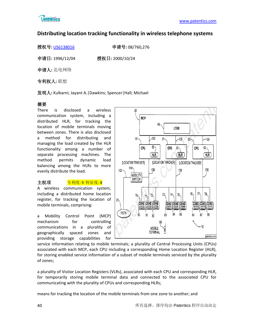

# **Distributing location tracking functionality in wireless telephone systems**

授权号**:** [US6138016](http://113.31.18.23/invokexml.do?sf=ShowPatent&spn=6138016&sv=fc4e1cce5d5965d3e220baa1a6b7cafb) 申请号**:** 08/760,276

申请日**:** 1996/12/04 授权日**:** 2000/10/24

申请人**:** 北电网络

专利权人**:** 联想

发明人**:** Kulkarni; Jayant A.|Dawkins; Spencer|Hall; Michael

# 摘要

There is disclosed a wireless communication system, including a distributed HLR, for tracking the location of mobile terminals moving between zones. There is also disclosed a method for distributing and managing the load created by the HLR functionality among a number of separate processing machines. The method permits dynamic load balancing among the HLRs to more evenly distribute the load.

# 主权项 **专利度: 9 特征度: 8**

A wireless communication system, including a distributed home location register, for tracking the location of mobile terminals, comprising:

a Mobility Control Point (MCP) mechanism for controlling communications in a plurality of geographically spaced zones and providing storage capabilities for



service information relating to mobile terminals; a plurality of Central Processing Units (CPUs) associated with each MCP, each CPU including a corresponding Home Location Register (HLR), for storing enabled service information of a subset of mobile terminals serviced by the plurality of zones;

a plurality of Visitor Location Registers (VLRs), associated with each CPU and corresponding HLR, for temporarily storing mobile terminal data and connected to the associated CPU for communicating with the plurality of CPUs and corresponding HLRs;

means for tracking the location of the mobile terminals from one zone to another; and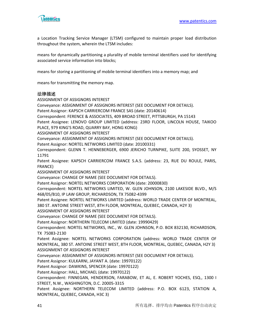

a Location Tracking Service Manager (LTSM) configured to maintain proper load distribution throughout the system, wherein the LTSM includes:

means for dynamically partitioning a plurality of mobile terminal identifiers used for identifying associated service information into blocks;

means for storing a partitioning of mobile terminal identifiers into a memory map; and

means for transmitting the memory map.

#### 法律描述

ASSIGNMENT OF ASSIGNORS INTEREST Conveyance: ASSIGNMENT OF ASSIGNORS INTEREST (SEE DOCUMENT FOR DETAILS). Patent Assignor: KAPSCH CARRIERCOM FRANCE SAS (date: 20140614) Correspondent: FERENCE & ASSOCIATES, 409 BROAD STREET, PITTSBURGH, PA 15143 Patent Assignee: LENOVO GROUP LIMITED (address: 23RD FLOOR, LINCOLN HOUSE, TAIKOO PLACE, 979 KING'S ROAD, QUARRY BAY, HONG KONG) ASSIGNMENT OF ASSIGNORS INTEREST Conveyance: ASSIGNMENT OF ASSIGNORS INTEREST (SEE DOCUMENT FOR DETAILS). Patent Assignor: NORTEL NETWORKS LIMITED (date: 20100331) Correspondent: GLENN T. HENNEBERGER, 6900 JERICHO TURNPIKE, SUITE 200, SYOSSET, NY 11791 Patent Assignee: KAPSCH CARRIERCOM FRANCE S.A.S. (address: 23, RUE DU ROULE, PARIS, FRANCE) ASSIGNMENT OF ASSIGNORS INTEREST Conveyance: CHANGE OF NAME (SEE DOCUMENT FOR DETAILS). Patent Assignor: NORTEL NETWORKS CORPORATION (date: 20000830) Correspondent: NORTEL NETWORKS LIMITED, W. GLEN JOHNSON, 2100 LAKESIDE BLVD., M/S 468/05/B10, IP LAW GROUP, RICHARDSON, TX 75082-4399 Patent Assignee: NORTEL NETWORKS LIMITED (address: WORLD TRADE CENTER OF MONTREAL, 380 ST. ANTOINE STREET WEST, 8TH FLOOR, MONTREAL, QUEBEC, CANADA, H2Y 3) ASSIGNMENT OF ASSIGNORS INTEREST Conveyance: CHANGE OF NAME (SEE DOCUMENT FOR DETAILS). Patent Assignor: NORTHERN TELECOM LIMITED (date: 19990429) Correspondent: NORTEL NETWORKS, INC., W. GLEN JOHNSON, P.O. BOX 832130, RICHARDSON, TX 75083-2130 Patent Assignee: NORTEL NETWORKS CORPORATION (address: WORLD TRADE CENTER OF MONTREAL, 380 ST. ANTOINE STREET WEST, 8TH FLOOR, MONTREAL, QUEBEC, CANADA, H2Y 3) ASSIGNMENT OF ASSIGNORS INTEREST Conveyance: ASSIGNMENT OF ASSIGNORS INTEREST (SEE DOCUMENT FOR DETAILS). Patent Assignor: KULKARNI, JAYANT A. (date: 19970122) Patent Assignor: DAWKINS, SPENCER (date: 19970122) Patent Assignor: HALL, MICHAEL (date: 19970122) Correspondent: FINNEGAN, HENDERSON, FARABOW, ET AL, E. ROBERT YOCHES, ESQ., 1300 I STREET, N.W., WASHINGTON, D.C. 20005-3315 Patent Assignee: NORTHERN TELECOM LIMITED (address: P.O. BOX 6123, STATION A,

MONTREAL, QUEBEC, CANADA, H3C 3)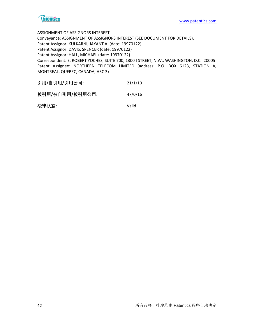

ASSIGNMENT OF ASSIGNORS INTEREST Conveyance: ASSIGNMENT OF ASSIGNORS INTEREST (SEE DOCUMENT FOR DETAILS). Patent Assignor: KULKARNI, JAYANT A. (date: 19970122) Patent Assignor: DAVIS, SPENCER (date: 19970122) Patent Assignor: HALL, MICHAEL (date: 19970122) Correspondent: E. ROBERT YOCHES, SUITE 700, 1300 I STREET, N.W., WASHINGTON, D.C. 20005 Patent Assignee: NORTHERN TELECOM LIMITED (address: P.O. BOX 6123, STATION A, MONTREAL, QUEBEC, CANADA, H3C 3)

| 引用/自引用/引用公司: | 21/1/10 |
|--------------|---------|
|              |         |

被引用**/**被自引用**/**被引用公司**:** 47/0/16

法律状态**:** Valid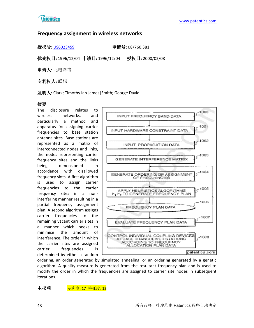

# **Frequency assignment in wireless networks**

授权号**:** [US6023459](http://113.31.18.23/invokexml.do?sf=ShowPatent&spn=6023459&sv=41032d2b78c6a18e8dc09d360f725878) 申请号**:** 08/760,381

优先权日**:** 1996/12/04 申请日**:** 1996/12/04 授权日**:** 2000/02/08

申请人**:** 北电网络

专利权人**:** 联想

发明人**:** Clark; Timothy Ian James|Smith; George David

# 摘要

The disclosure relates to wireless networks, and particularly a method and apparatus for assigning carrier frequencies to base station antenna sites. Base stations are represented as a matrix of interconnected nodes and links, the nodes representing carrier frequency sites and the links being dimensioned in accordance with disallowed frequency slots. A first algorithm is used to assign carrier frequencies to the carrier frequency sites in a noninterfering manner resulting in a partial frequency assignment plan. A second algorithm assigns carrier frequencies to the remaining vacant carrier sites in a manner which seeks to minimise the amount of interference. The order in which the carrier sites are assigned carrier frequencies is determined by either a random



ordering, an order generated by simulated annealing, or an ordering generated by a genetic algorithm. A quality measure is generated from the resultant frequency plan and is used to modify the order in which the frequencies are assigned to carrier site nodes in subsequent iterations.

主权项 <mark>专利度: 17 特征度: 12</mark>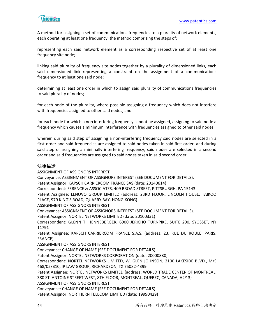

A method for assigning a set of communications frequencies to a plurality of network elements, each operating at least one frequency, the method comprising the steps of:

representing each said network element as a corresponding respective set of at least one frequency site node;

linking said plurality of frequency site nodes together by a plurality of dimensioned links, each said dimensioned link representing a constraint on the assignment of a communications frequency to at least one said node;

determining at least one order in which to assign said plurality of communications frequencies to said plurality of nodes;

for each node of the plurality, where possible assigning a frequency which does not interfere with frequencies assigned to other said nodes; and

for each node for which a non interfering frequency cannot be assigned, assigning to said node a frequency which causes a minimum interference with frequencies assigned to other said nodes,

wherein during said step of assigning a non-interfering frequency said nodes are selected in a first order and said frequencies are assigned to said nodes taken in said first order, and during said step of assigning a minimally interfering frequency, said nodes are selected in a second order and said frequencies are assigned to said nodes taken in said second order.

#### 法律描述

ASSIGNMENT OF ASSIGNORS INTEREST Conveyance: ASSIGNMENT OF ASSIGNORS INTEREST (SEE DOCUMENT FOR DETAILS). Patent Assignor: KAPSCH CARRIERCOM FRANCE SAS (date: 20140614) Correspondent: FERENCE & ASSOCIATES, 409 BROAD STREET, PITTSBURGH, PA 15143 Patent Assignee: LENOVO GROUP LIMITED (address: 23RD FLOOR, LINCOLN HOUSE, TAIKOO PLACE, 979 KING'S ROAD, QUARRY BAY, HONG KONG) ASSIGNMENT OF ASSIGNORS INTEREST Conveyance: ASSIGNMENT OF ASSIGNORS INTEREST (SEE DOCUMENT FOR DETAILS). Patent Assignor: NORTEL NETWORKS LIMITED (date: 20100331) Correspondent: GLENN T. HENNEBERGER, 6900 JERICHO TURNPIKE, SUITE 200, SYOSSET, NY 11791 Patent Assignee: KAPSCH CARRIERCOM FRANCE S.A.S. (address: 23, RUE DU ROULE, PARIS, FRANCE) ASSIGNMENT OF ASSIGNORS INTEREST Conveyance: CHANGE OF NAME (SEE DOCUMENT FOR DETAILS). Patent Assignor: NORTEL NETWORKS CORPORATION (date: 20000830) Correspondent: NORTEL NETWORKS LIMITED, W. GLEN JOHNSON, 2100 LAKESIDE BLVD., M/S 468/05/B10, IP LAW GROUP, RICHARDSON, TX 75082-4399 Patent Assignee: NORTEL NETWORKS LIMITED (address: WORLD TRADE CENTER OF MONTREAL, 380 ST. ANTOINE STREET WEST, 8TH FLOOR, MONTREAL, QUEBEC, CANADA, H2Y 3) ASSIGNMENT OF ASSIGNORS INTEREST Conveyance: CHANGE OF NAME (SEE DOCUMENT FOR DETAILS). Patent Assignor: NORTHERN TELECOM LIMITED (date: 19990429)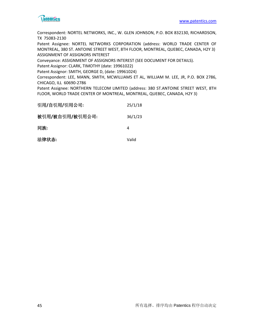

Correspondent: NORTEL NETWORKS, INC., W. GLEN JOHNSON, P.O. BOX 832130, RICHARDSON, TX 75083-2130

Patent Assignee: NORTEL NETWORKS CORPORATION (address: WORLD TRADE CENTER OF MONTREAL, 380 ST. ANTOINE STREET WEST, 8TH FLOOR, MONTREAL, QUEBEC, CANADA, H2Y 3) ASSIGNMENT OF ASSIGNORS INTEREST

Conveyance: ASSIGNMENT OF ASSIGNORS INTEREST (SEE DOCUMENT FOR DETAILS).

Patent Assignor: CLARK, TIMOTHY (date: 19961022)

Patent Assignor: SMITH, GEORGE D, (date: 19961024)

Correspondent: LEE, MANN, SMITH, MCWILLIAMS ET AL, WILLIAM M. LEE, JR, P.O. BOX 2786, CHICAGO, ILL 60690-2786

Patent Assignee: NORTHERN TELECOM LIMITED (address: 380 ST.ANTOINE STREET WEST, 8TH FLOOR, WORLD TRADE CENTER OF MONTREAL, MONTREAL, QUEBEC, CANADA, H2Y 3)

| 引用/自引用/引用公司:    | 25/1/18 |
|-----------------|---------|
| 被引用/被自引用/被引用公司: | 36/1/23 |
| 同族:             | 4       |
| 法律状态:           | Valid   |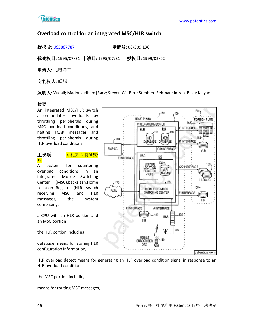

 $160 -$ 

# **Overload control for an integrated MSC/HLR switch**

授权号**:** [US5867787](http://113.31.18.23/invokexml.do?sf=ShowPatent&spn=5867787&sv=35add2e5b5060e81d6c46c50ce0043dc) 申请号**:** 08/509,136

优先权日**:** 1995/07/31 申请日**:** 1995/07/31 授权日**:** 1999/02/02

申请人**:** 北电网络

专利权人**:** 联想

发明人**:** Vudali; Madhusudham|Racz; Steven W.|Bird; Stephen|Rehman; Imran|Basu; Kalyan

# 摘要

An integrated MSC/HLR switch accommodates overloads by throttling peripherals during MSC overload conditions, and halting TCAP messages and throttling peripherals during HLR overload conditions.

# 主权项 <mark>专利度: 3 特征度:</mark> 19

A system for countering overload conditions in an integrated Mobile Switching Center (MSC).backslash.Home Location Register (HLR) switch receiving MSC and HLR messages, the system comprising:

a CPU with an HLR portion and an MSC portion;

the HLR portion including

database means for storing HLR configuration information,



HLR overload detect means for generating an HLR overload condition signal in response to an HLR overload condition;

the MSC portion including

means for routing MSC messages,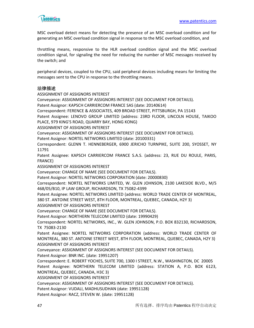

MSC overload detect means for detecting the presence of an MSC overload condition and for generating an MSC overload condition signal in response to the MSC overload condition, and

throttling means, responsive to the HLR overload condition signal and the MSC overload condition signal, for signaling the need for reducing the number of MSC messages received by the switch; and

peripheral devices, coupled to the CPU, said peripheral devices including means for limiting the messages sent to the CPU in response to the throttling means.

#### 法律描述

ASSIGNMENT OF ASSIGNORS INTEREST Conveyance: ASSIGNMENT OF ASSIGNORS INTEREST (SEE DOCUMENT FOR DETAILS). Patent Assignor: KAPSCH CARRIERCOM FRANCE SAS (date: 20140614) Correspondent: FERENCE & ASSOCIATES, 409 BROAD STREET, PITTSBURGH, PA 15143 Patent Assignee: LENOVO GROUP LIMITED (address: 23RD FLOOR, LINCOLN HOUSE, TAIKOO PLACE, 979 KING'S ROAD, QUARRY BAY, HONG KONG) ASSIGNMENT OF ASSIGNORS INTEREST Conveyance: ASSIGNMENT OF ASSIGNORS INTEREST (SEE DOCUMENT FOR DETAILS). Patent Assignor: NORTEL NETWORKS LIMITED (date: 20100331) Correspondent: GLENN T. HENNEBERGER, 6900 JERICHO TURNPIKE, SUITE 200, SYOSSET, NY 11791 Patent Assignee: KAPSCH CARRIERCOM FRANCE S.A.S. (address: 23, RUE DU ROULE, PARIS, FRANCE) ASSIGNMENT OF ASSIGNORS INTEREST Conveyance: CHANGE OF NAME (SEE DOCUMENT FOR DETAILS). Patent Assignor: NORTEL NETWORKS CORPORATION (date: 20000830) Correspondent: NORTEL NETWORKS LIMITED, W. GLEN JOHNSON, 2100 LAKESIDE BLVD., M/S 468/05/B10, IP LAW GROUP, RICHARDSON, TX 75082-4399 Patent Assignee: NORTEL NETWORKS LIMITED (address: WORLD TRADE CENTER OF MONTREAL, 380 ST. ANTOINE STREET WEST, 8TH FLOOR, MONTREAL, QUEBEC, CANADA, H2Y 3) ASSIGNMENT OF ASSIGNORS INTEREST Conveyance: CHANGE OF NAME (SEE DOCUMENT FOR DETAILS). Patent Assignor: NORTHERN TELECOM LIMITED (date: 19990429) Correspondent: NORTEL NETWORKS, INC., W. GLEN JOHNSON, P.O. BOX 832130, RICHARDSON, TX 75083-2130 Patent Assignee: NORTEL NETWORKS CORPORATION (address: WORLD TRADE CENTER OF MONTREAL, 380 ST. ANTOINE STREET WEST, 8TH FLOOR, MONTREAL, QUEBEC, CANADA, H2Y 3) ASSIGNMENT OF ASSIGNORS INTEREST Conveyance: ASSIGNMENT OF ASSIGNORS INTEREST (SEE DOCUMENT FOR DETAILS). Patent Assignor: BNR INC. (date: 19951207) Correspondent: E. ROBERT YOCHES, SUITE 700, 1300 I STREET, N.W., WASHINGTON, DC 20005 Patent Assignee: NORTHERN TELECOM LIMITED (address: STATION A, P.O. BOX 6123, MONTREAL, QUEBEC, CANADA, H3C 3) ASSIGNMENT OF ASSIGNORS INTEREST Conveyance: ASSIGNMENT OF ASSIGNORS INTEREST (SEE DOCUMENT FOR DETAILS). Patent Assignor: VUDALI, MADHUSUDHAN (date: 19951128)

Patent Assignor: RACZ, STEVEN W. (date: 19951128)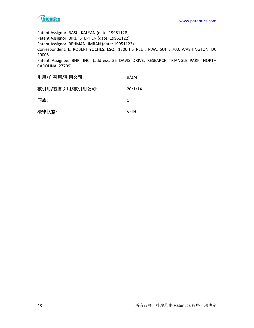

Patent Assignor: BASU, KALYAN (date: 19951128) Patent Assignor: BIRD, STEPHEN (date: 19951122) Patent Assignor: REHMAN, IMRAN (date: 19951123) Correspondent: E. ROBERT YOCHES, ESQ., 1300 I STREET, N.W., SUITE 700, WASHINGTON, DC 20005 Patent Assignee: BNR, INC. (address: 35 DAVIS DRIVE, RESEARCH TRIANGLE PARK, NORTH CAROLINA, 27709)

| 引用/自引用/引用公司:    | 9/2/4   |
|-----------------|---------|
| 被引用/被自引用/被引用公司: | 20/1/14 |
| 同族:             | 1       |
| 法律状态:           | Valid   |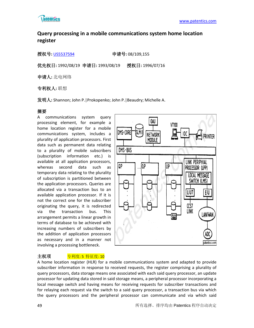

# **Query processing in a mobile communications system home location register**

授权号**:** [US5537594](http://113.31.18.23/invokexml.do?sf=ShowPatent&spn=5537594&sv=1ad0e25f159809b9cb8104338cbe3369) 申请号**:** 08/109,155

优先权日**:** 1992/08/19 申请日**:** 1993/08/19 授权日**:** 1996/07/16

申请人**:** 北电网络

专利权人**:** 联想

发明人**:** Shannon; John P.|Prokopenko; John P.|Beaudry; Michelle A.

#### 摘要

A communications system query processing element, for example a home location register for a mobile communications system, includes a plurality of application processors. First data such as permanent data relating to a plurality of mobile subscribers (subscription information etc.) is available at all application processors, whereas second data such as temporary data relating to the plurality of subscription is partitioned between the application processors. Queries are allocated via a transaction bus to an available application processor. If it is not the correct one for the subscriber originating the query, it is redirected via the transaction bus. This arrangement permits a linear growth in terms of database to be achieved with increasing numbers of subscribers by the addition of application processors as necessary and in a manner not involving a processing bottleneck.



# 主权项 <mark>专利度: 5 特征度: 10</mark>

A home location register (HLR) for a mobile communications system and adapted to provide subscriber information in response to received requests, the register comprising a plurality of query processors, data storage means one associated with each said query processor, an update processor for updating data stored in said storage means, a peripheral processor incorporating a local message switch and having means for receiving requests for subscriber transactions and for relaying each request via the switch to a said query processor, a transaction bus via which the query processors and the peripheral processor can communicate and via which said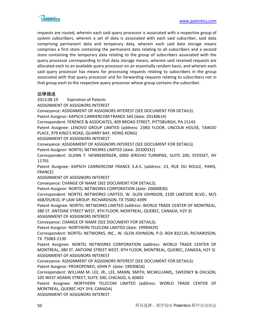

requests are routed, wherein each said query processor is associated with a respective group of system subscribers, wherein a set of data is associated with each said subscriber, said data comprising permanent data and temporary data, wherein each said data storage means comprises a first store containing the permanent data relating to all subscribers and a second store containing the temporary data relating to the group of subscribers associated with the query processor corresponding to that data storage means, wherein said received requests are allocated each to an available query processor on an essentially random basis, and wherein each said query processor has means for processing requests relating to subscribers in the group associated with that query processor and for forwarding requests relating to subscribers not in that group each to the respective query processor whose group contains the subscriber.

#### 法律描述

2013.08.19 Expiration of Patents

ASSIGNMENT OF ASSIGNORS INTEREST

Conveyance: ASSIGNMENT OF ASSIGNORS INTEREST (SEE DOCUMENT FOR DETAILS).

Patent Assignor: KAPSCH CARRIERCOM FRANCE SAS (date: 20140614)

Correspondent: FERENCE & ASSOCIATES, 409 BROAD STREET, PITTSBURGH, PA 15143

Patent Assignee: LENOVO GROUP LIMITED (address: 23RD FLOOR, LINCOLN HOUSE, TAIKOO PLACE, 979 KING'S ROAD, QUARRY BAY, HONG KONG)

ASSIGNMENT OF ASSIGNORS INTEREST

Conveyance: ASSIGNMENT OF ASSIGNORS INTEREST (SEE DOCUMENT FOR DETAILS).

Patent Assignor: NORTEL NETWORKS LIMITED (date: 20100331)

Correspondent: GLENN T. HENNEBERGER, 6900 JERICHO TURNPIKE, SUITE 200, SYOSSET, NY 11791

Patent Assignee: KAPSCH CARRIERCOM FRANCE S.A.S. (address: 23, RUE DU ROULE, PARIS, FRANCE)

ASSIGNMENT OF ASSIGNORS INTEREST

Conveyance: CHANGE OF NAME (SEE DOCUMENT FOR DETAILS).

Patent Assignor: NORTEL NETWORKS CORPORATION (date: 20000830)

Correspondent: NORTEL NETWORKS LIMITED, W. GLEN JOHNSON, 2100 LAKESIDE BLVD., M/S 468/05/B10, IP LAW GROUP, RICHARDSON, TX 75082-4399

Patent Assignee: NORTEL NETWORKS LIMITED (address: WORLD TRADE CENTER OF MONTREAL, 380 ST. ANTOINE STREET WEST, 8TH FLOOR, MONTREAL, QUEBEC, CANADA, H2Y 3)

ASSIGNMENT OF ASSIGNORS INTEREST

Conveyance: CHANGE OF NAME (SEE DOCUMENT FOR DETAILS).

Patent Assignor: NORTHERN TELECOM LIMITED (date: 19990429)

Correspondent: NORTEL NETWORKS, INC., W. GLEN JOHNSON, P.O. BOX 832130, RICHARDSON, TX 75083-2130

Patent Assignee: NORTEL NETWORKS CORPORATION (address: WORLD TRADE CENTER OF MONTREAL, 380 ST. ANTOINE STREET WEST, 8TH FLOOR, MONTREAL, QUEBEC, CANADA, H2Y 3) ASSIGNMENT OF ASSIGNORS INTEREST

Conveyance: ASSIGNMENT OF ASSIGNORS INTEREST (SEE DOCUMENT FOR DETAILS).

Patent Assignor: PROKOPENKO, JOHN P. (date: 19930816)

Correspondent: WILLIAM M. LEE, JR., LEE, MANN, SMITH, MCWILLIAMS,, SWEENEY & OHLSON, 105 WEST ADAMS STREET, SUITE 300, CHICAGO, IL 60603

Patent Assignee: NORTHERN TELECOM LIMITED (address: WORLD TRADE CENTER OF MONTREAL, QUEBEC H2Y 3Y4, CANADA)

ASSIGNMENT OF ASSIGNORS INTEREST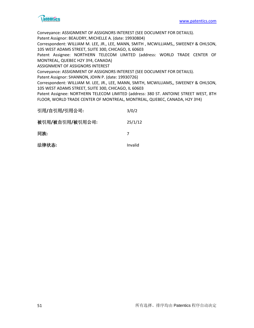

Conveyance: ASSIGNMENT OF ASSIGNORS INTEREST (SEE DOCUMENT FOR DETAILS).

Patent Assignor: BEAUDRY, MICHELLE A. (date: 19930804)

Correspondent: WILLIAM M. LEE, JR., LEE, MANN, SMITH , MCWILLIAMS,, SWEENEY & OHLSON, 105 WEST ADAMS STREET, SUITE 300, CHICAGO, IL 60603

Patent Assignee: NORTHERN TELECOM LIMITED (address: WORLD TRADE CENTER OF MONTREAL, QUEBEC H2Y 3Y4, CANADA)

ASSIGNMENT OF ASSIGNORS INTEREST

Conveyance: ASSIGNMENT OF ASSIGNORS INTEREST (SEE DOCUMENT FOR DETAILS).

Patent Assignor: SHANNON, JOHN P. (date: 19930726)

Correspondent: WILLIAM M. LEE, JR., LEE, MANN, SMITH, MCWILLIAMS,, SWEENEY & OHLSON, 105 WEST ADAMS STREET, SUITE 300, CHICAGO, IL 60603

Patent Assignee: NORTHERN TELECOM LIMITED (address: 380 ST. ANTOINE STREET WEST, 8TH FLOOR, WORLD TRADE CENTER OF MONTREAL, MONTREAL, QUEBEC, CANADA, H2Y 3Y4)

| 引用/自引用/引用公司:    | 3/0/2   |
|-----------------|---------|
| 被引用/被自引用/被引用公司: | 25/1/12 |
| 同族:             |         |
| 法律状态:           | Invalid |